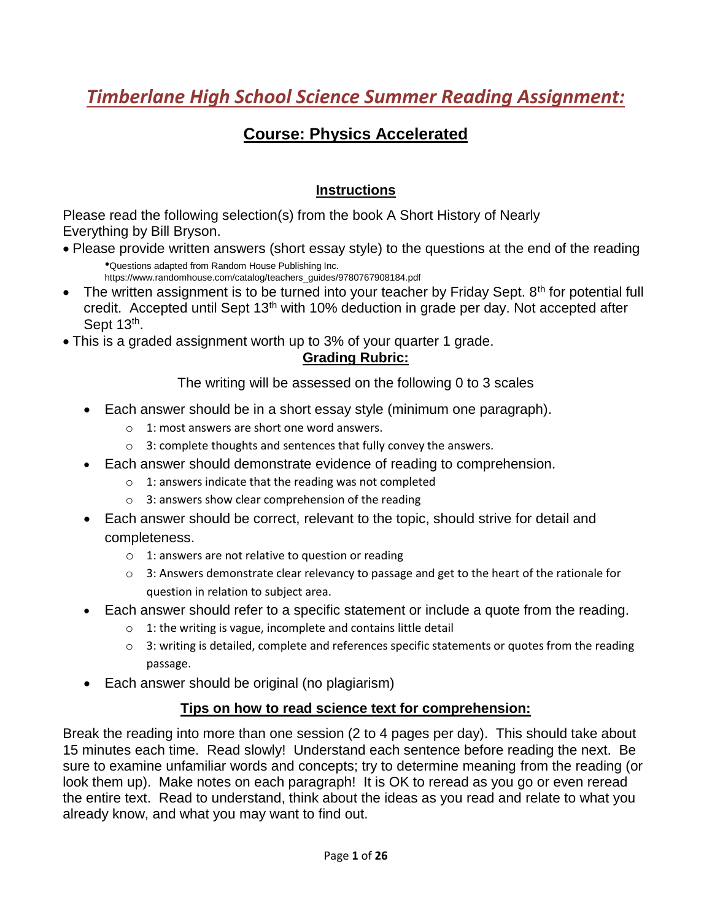*Timberlane High School Science Summer Reading Assignment:*

# **Course: Physics Accelerated**

### **Instructions**

Please read the following selection(s) from the book A Short History of Nearly Everything by Bill Bryson.

Please provide written answers (short essay style) to the questions at the end of the reading •Questions adapted from Random House Publishing Inc.

https://www.randomhouse.com/catalog/teachers\_guides/9780767908184.pdf

- The written assignment is to be turned into your teacher by Friday Sept. 8<sup>th</sup> for potential full credit. Accepted until Sept 13<sup>th</sup> with 10% deduction in grade per day. Not accepted after Sept 13<sup>th</sup>.
- This is a graded assignment worth up to 3% of your quarter 1 grade.

## **Grading Rubric:**

The writing will be assessed on the following 0 to 3 scales

- Each answer should be in a short essay style (minimum one paragraph).
	- o 1: most answers are short one word answers.
	- o 3: complete thoughts and sentences that fully convey the answers.
- Each answer should demonstrate evidence of reading to comprehension.
	- o 1: answers indicate that the reading was not completed
	- o 3: answers show clear comprehension of the reading
- Each answer should be correct, relevant to the topic, should strive for detail and completeness.
	- o 1: answers are not relative to question or reading
	- $\circ$  3: Answers demonstrate clear relevancy to passage and get to the heart of the rationale for question in relation to subject area.
- Each answer should refer to a specific statement or include a quote from the reading.
	- o 1: the writing is vague, incomplete and contains little detail
	- o 3: writing is detailed, complete and references specific statements or quotes from the reading passage.
- Each answer should be original (no plagiarism)

# **Tips on how to read science text for comprehension:**

Break the reading into more than one session (2 to 4 pages per day). This should take about 15 minutes each time. Read slowly! Understand each sentence before reading the next. Be sure to examine unfamiliar words and concepts; try to determine meaning from the reading (or look them up). Make notes on each paragraph! It is OK to reread as you go or even reread the entire text. Read to understand, think about the ideas as you read and relate to what you already know, and what you may want to find out.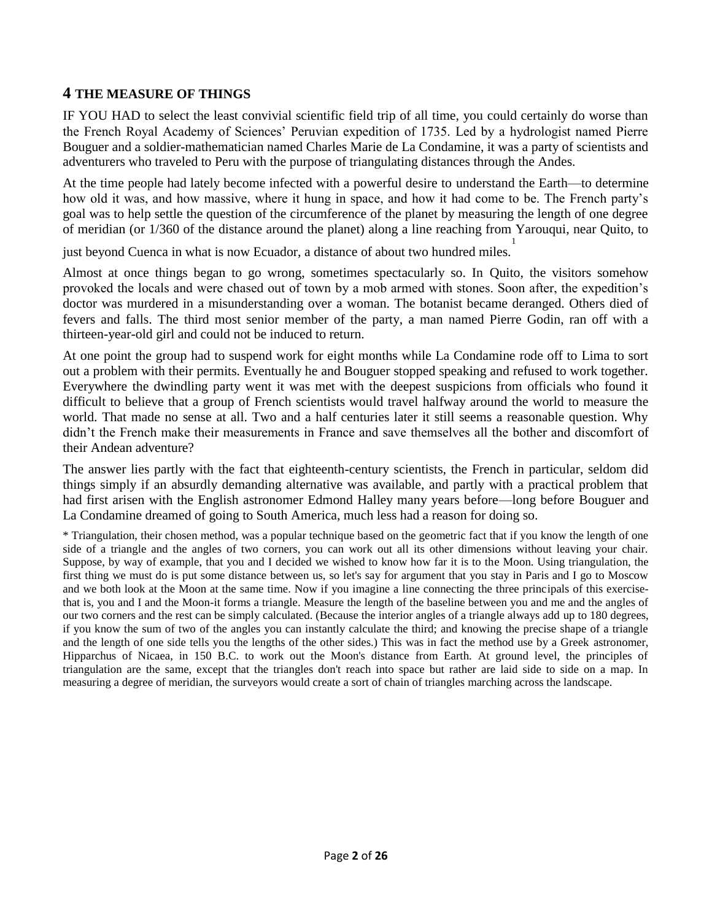### **4 THE MEASURE OF THINGS**

IF YOU HAD to select the least convivial scientific field trip of all time, you could certainly do worse than the French Royal Academy of Sciences' Peruvian expedition of 1735. Led by a hydrologist named Pierre Bouguer and a soldier-mathematician named Charles Marie de La Condamine, it was a party of scientists and adventurers who traveled to Peru with the purpose of triangulating distances through the Andes.

At the time people had lately become infected with a powerful desire to understand the Earth—to determine how old it was, and how massive, where it hung in space, and how it had come to be. The French party's goal was to help settle the question of the circumference of the planet by measuring the length of one degree of meridian (or 1/360 of the distance around the planet) along a line reaching from Yarouqui, near Quito, to

just beyond Cuenca in what is now Ecuador, a distance of about two hundred miles. 1

Almost at once things began to go wrong, sometimes spectacularly so. In Quito, the visitors somehow provoked the locals and were chased out of town by a mob armed with stones. Soon after, the expedition's doctor was murdered in a misunderstanding over a woman. The botanist became deranged. Others died of fevers and falls. The third most senior member of the party, a man named Pierre Godin, ran off with a thirteen-year-old girl and could not be induced to return.

At one point the group had to suspend work for eight months while La Condamine rode off to Lima to sort out a problem with their permits. Eventually he and Bouguer stopped speaking and refused to work together. Everywhere the dwindling party went it was met with the deepest suspicions from officials who found it difficult to believe that a group of French scientists would travel halfway around the world to measure the world. That made no sense at all. Two and a half centuries later it still seems a reasonable question. Why didn't the French make their measurements in France and save themselves all the bother and discomfort of their Andean adventure?

The answer lies partly with the fact that eighteenth-century scientists, the French in particular, seldom did things simply if an absurdly demanding alternative was available, and partly with a practical problem that had first arisen with the English astronomer Edmond Halley many years before—long before Bouguer and La Condamine dreamed of going to South America, much less had a reason for doing so.

\* Triangulation, their chosen method, was a popular technique based on the geometric fact that if you know the length of one side of a triangle and the angles of two corners, you can work out all its other dimensions without leaving your chair. Suppose, by way of example, that you and I decided we wished to know how far it is to the Moon. Using triangulation, the first thing we must do is put some distance between us, so let's say for argument that you stay in Paris and I go to Moscow and we both look at the Moon at the same time. Now if you imagine a line connecting the three principals of this exercisethat is, you and I and the Moon-it forms a triangle. Measure the length of the baseline between you and me and the angles of our two corners and the rest can be simply calculated. (Because the interior angles of a triangle always add up to 180 degrees, if you know the sum of two of the angles you can instantly calculate the third; and knowing the precise shape of a triangle and the length of one side tells you the lengths of the other sides.) This was in fact the method use by a Greek astronomer, Hipparchus of Nicaea, in 150 B.C. to work out the Moon's distance from Earth. At ground level, the principles of triangulation are the same, except that the triangles don't reach into space but rather are laid side to side on a map. In measuring a degree of meridian, the surveyors would create a sort of chain of triangles marching across the landscape.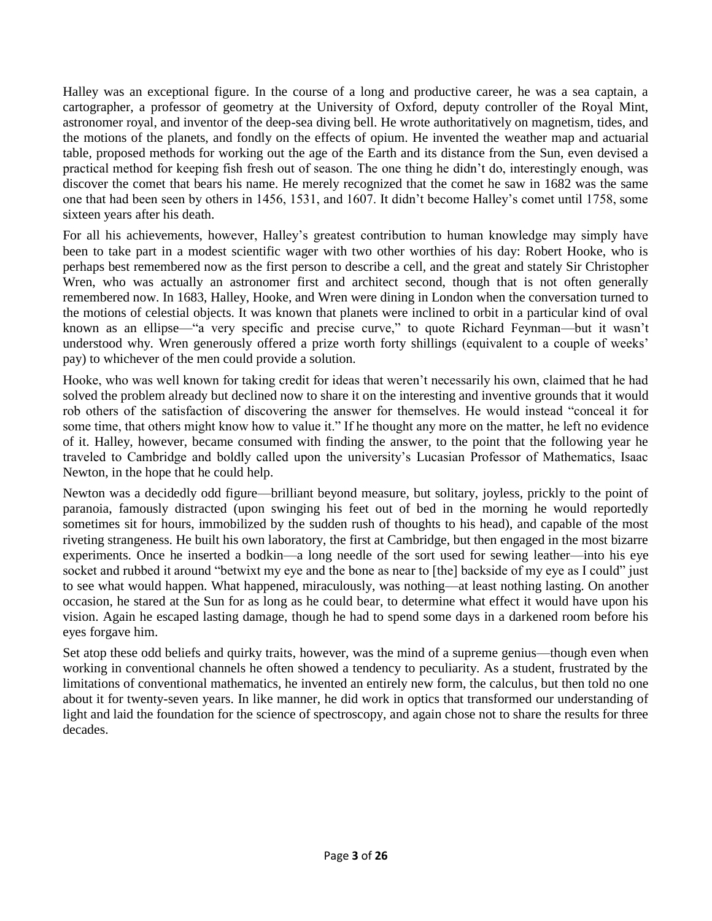Halley was an exceptional figure. In the course of a long and productive career, he was a sea captain, a cartographer, a professor of geometry at the University of Oxford, deputy controller of the Royal Mint, astronomer royal, and inventor of the deep-sea diving bell. He wrote authoritatively on magnetism, tides, and the motions of the planets, and fondly on the effects of opium. He invented the weather map and actuarial table, proposed methods for working out the age of the Earth and its distance from the Sun, even devised a practical method for keeping fish fresh out of season. The one thing he didn't do, interestingly enough, was discover the comet that bears his name. He merely recognized that the comet he saw in 1682 was the same one that had been seen by others in 1456, 1531, and 1607. It didn't become Halley's comet until 1758, some sixteen years after his death.

For all his achievements, however, Halley's greatest contribution to human knowledge may simply have been to take part in a modest scientific wager with two other worthies of his day: Robert Hooke, who is perhaps best remembered now as the first person to describe a cell, and the great and stately Sir Christopher Wren, who was actually an astronomer first and architect second, though that is not often generally remembered now. In 1683, Halley, Hooke, and Wren were dining in London when the conversation turned to the motions of celestial objects. It was known that planets were inclined to orbit in a particular kind of oval known as an ellipse—"a very specific and precise curve," to quote Richard Feynman—but it wasn't understood why. Wren generously offered a prize worth forty shillings (equivalent to a couple of weeks' pay) to whichever of the men could provide a solution.

Hooke, who was well known for taking credit for ideas that weren't necessarily his own, claimed that he had solved the problem already but declined now to share it on the interesting and inventive grounds that it would rob others of the satisfaction of discovering the answer for themselves. He would instead "conceal it for some time, that others might know how to value it." If he thought any more on the matter, he left no evidence of it. Halley, however, became consumed with finding the answer, to the point that the following year he traveled to Cambridge and boldly called upon the university's Lucasian Professor of Mathematics, Isaac Newton, in the hope that he could help.

Newton was a decidedly odd figure—brilliant beyond measure, but solitary, joyless, prickly to the point of paranoia, famously distracted (upon swinging his feet out of bed in the morning he would reportedly sometimes sit for hours, immobilized by the sudden rush of thoughts to his head), and capable of the most riveting strangeness. He built his own laboratory, the first at Cambridge, but then engaged in the most bizarre experiments. Once he inserted a bodkin—a long needle of the sort used for sewing leather—into his eye socket and rubbed it around "betwixt my eye and the bone as near to [the] backside of my eye as I could" just to see what would happen. What happened, miraculously, was nothing—at least nothing lasting. On another occasion, he stared at the Sun for as long as he could bear, to determine what effect it would have upon his vision. Again he escaped lasting damage, though he had to spend some days in a darkened room before his eyes forgave him.

Set atop these odd beliefs and quirky traits, however, was the mind of a supreme genius—though even when working in conventional channels he often showed a tendency to peculiarity. As a student, frustrated by the limitations of conventional mathematics, he invented an entirely new form, the calculus, but then told no one about it for twenty-seven years. In like manner, he did work in optics that transformed our understanding of light and laid the foundation for the science of spectroscopy, and again chose not to share the results for three decades.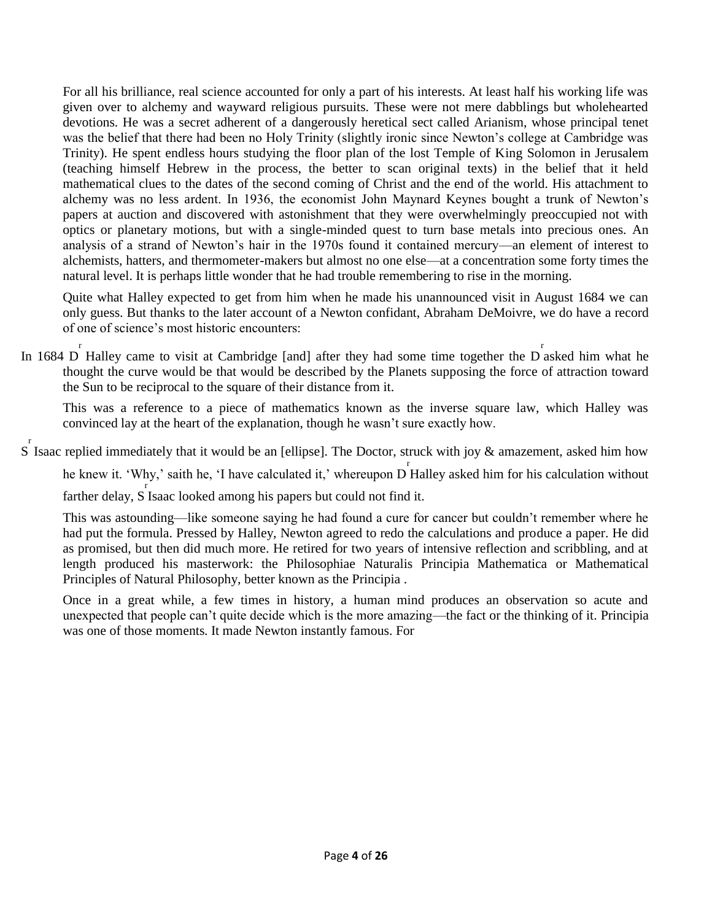For all his brilliance, real science accounted for only a part of his interests. At least half his working life was given over to alchemy and wayward religious pursuits. These were not mere dabblings but wholehearted devotions. He was a secret adherent of a dangerously heretical sect called Arianism, whose principal tenet was the belief that there had been no Holy Trinity (slightly ironic since Newton's college at Cambridge was Trinity). He spent endless hours studying the floor plan of the lost Temple of King Solomon in Jerusalem (teaching himself Hebrew in the process, the better to scan original texts) in the belief that it held mathematical clues to the dates of the second coming of Christ and the end of the world. His attachment to alchemy was no less ardent. In 1936, the economist John Maynard Keynes bought a trunk of Newton's papers at auction and discovered with astonishment that they were overwhelmingly preoccupied not with optics or planetary motions, but with a single-minded quest to turn base metals into precious ones. An analysis of a strand of Newton's hair in the 1970s found it contained mercury—an element of interest to alchemists, hatters, and thermometer-makers but almost no one else—at a concentration some forty times the natural level. It is perhaps little wonder that he had trouble remembering to rise in the morning.

Quite what Halley expected to get from him when he made his unannounced visit in August 1684 we can only guess. But thanks to the later account of a Newton confidant, Abraham DeMoivre, we do have a record of one of science's most historic encounters:

In 1684 D<sup>r</sup> Halley came to visit at Cambridge [and] after they had some time together the D<sup>r</sup> asked him what he thought the curve would be that would be described by the Planets supposing the force of attraction toward the Sun to be reciprocal to the square of their distance from it.

This was a reference to a piece of mathematics known as the inverse square law, which Halley was convinced lay at the heart of the explanation, though he wasn't sure exactly how.

S r Isaac replied immediately that it would be an [ellipse]. The Doctor, struck with joy & amazement, asked him how

he knew it. 'Why,' saith he, 'I have calculated it,' whereupon D Halley asked him for his calculation without

farther delay, S Isaac looked among his papers but could not find it.

This was astounding—like someone saying he had found a cure for cancer but couldn't remember where he had put the formula. Pressed by Halley, Newton agreed to redo the calculations and produce a paper. He did as promised, but then did much more. He retired for two years of intensive reflection and scribbling, and at length produced his masterwork: the Philosophiae Naturalis Principia Mathematica or Mathematical Principles of Natural Philosophy, better known as the Principia .

Once in a great while, a few times in history, a human mind produces an observation so acute and unexpected that people can't quite decide which is the more amazing—the fact or the thinking of it. Principia was one of those moments. It made Newton instantly famous. For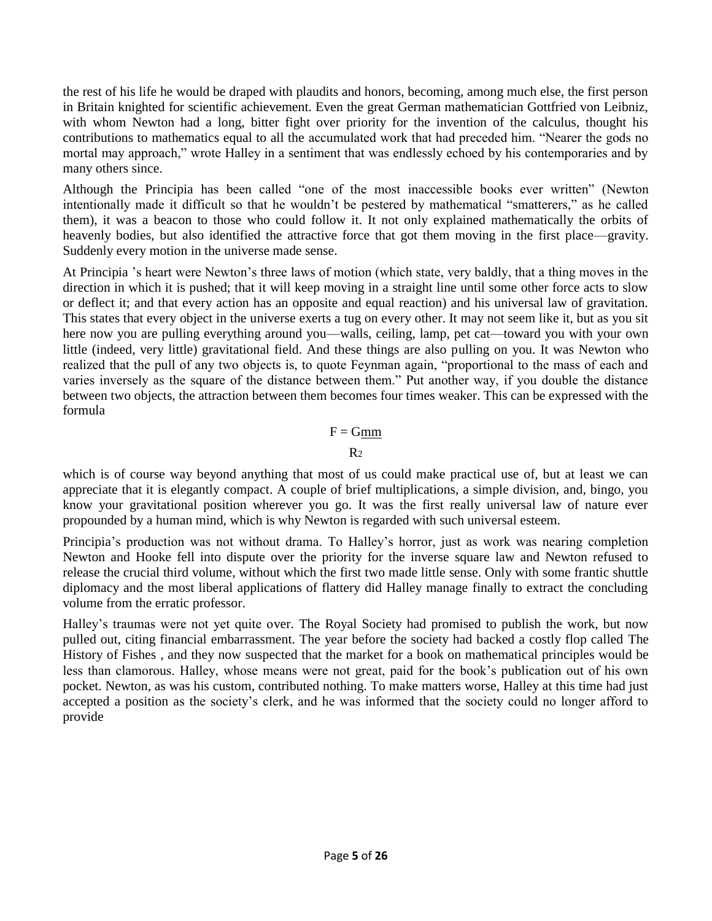the rest of his life he would be draped with plaudits and honors, becoming, among much else, the first person in Britain knighted for scientific achievement. Even the great German mathematician Gottfried von Leibniz, with whom Newton had a long, bitter fight over priority for the invention of the calculus, thought his contributions to mathematics equal to all the accumulated work that had preceded him. "Nearer the gods no mortal may approach," wrote Halley in a sentiment that was endlessly echoed by his contemporaries and by many others since.

Although the Principia has been called "one of the most inaccessible books ever written" (Newton intentionally made it difficult so that he wouldn't be pestered by mathematical "smatterers," as he called them), it was a beacon to those who could follow it. It not only explained mathematically the orbits of heavenly bodies, but also identified the attractive force that got them moving in the first place—gravity. Suddenly every motion in the universe made sense.

At Principia 's heart were Newton's three laws of motion (which state, very baldly, that a thing moves in the direction in which it is pushed; that it will keep moving in a straight line until some other force acts to slow or deflect it; and that every action has an opposite and equal reaction) and his universal law of gravitation. This states that every object in the universe exerts a tug on every other. It may not seem like it, but as you sit here now you are pulling everything around you—walls, ceiling, lamp, pet cat—toward you with your own little (indeed, very little) gravitational field. And these things are also pulling on you. It was Newton who realized that the pull of any two objects is, to quote Feynman again, "proportional to the mass of each and varies inversely as the square of the distance between them." Put another way, if you double the distance between two objects, the attraction between them becomes four times weaker. This can be expressed with the formula

> $F = Gmm$  $R<sub>2</sub>$

which is of course way beyond anything that most of us could make practical use of, but at least we can appreciate that it is elegantly compact. A couple of brief multiplications, a simple division, and, bingo, you know your gravitational position wherever you go. It was the first really universal law of nature ever propounded by a human mind, which is why Newton is regarded with such universal esteem.

Principia's production was not without drama. To Halley's horror, just as work was nearing completion Newton and Hooke fell into dispute over the priority for the inverse square law and Newton refused to release the crucial third volume, without which the first two made little sense. Only with some frantic shuttle diplomacy and the most liberal applications of flattery did Halley manage finally to extract the concluding volume from the erratic professor.

Halley's traumas were not yet quite over. The Royal Society had promised to publish the work, but now pulled out, citing financial embarrassment. The year before the society had backed a costly flop called The History of Fishes , and they now suspected that the market for a book on mathematical principles would be less than clamorous. Halley, whose means were not great, paid for the book's publication out of his own pocket. Newton, as was his custom, contributed nothing. To make matters worse, Halley at this time had just accepted a position as the society's clerk, and he was informed that the society could no longer afford to provide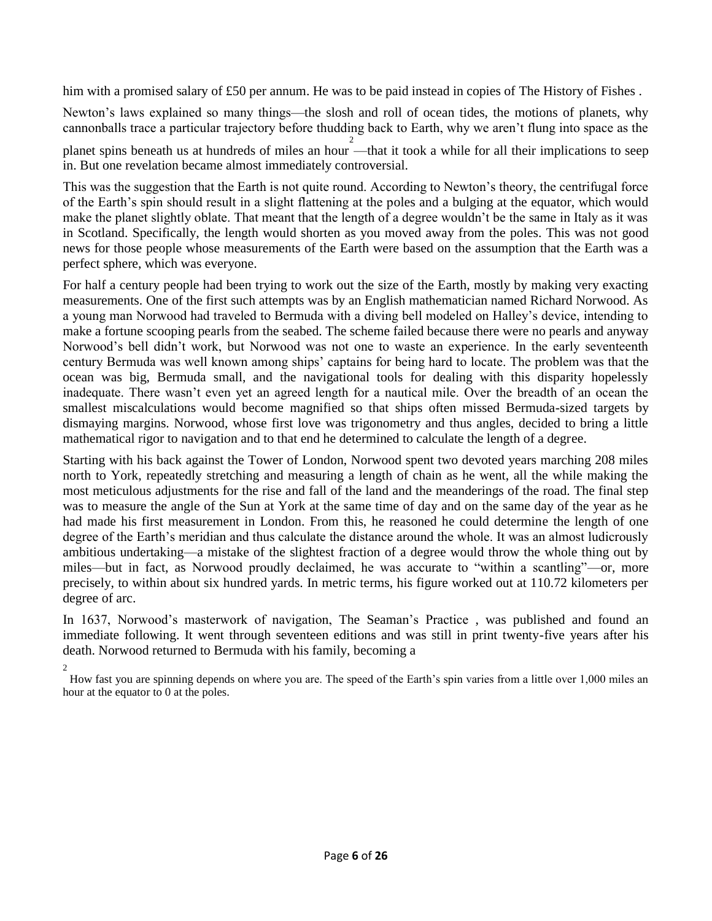him with a promised salary of £50 per annum. He was to be paid instead in copies of The History of Fishes.

Newton's laws explained so many things—the slosh and roll of ocean tides, the motions of planets, why cannonballs trace a particular trajectory before thudding back to Earth, why we aren't flung into space as the planet spins beneath us at hundreds of miles an hour —that it took a while for all their implications to seep in. But one revelation became almost immediately controversial.

This was the suggestion that the Earth is not quite round. According to Newton's theory, the centrifugal force of the Earth's spin should result in a slight flattening at the poles and a bulging at the equator, which would make the planet slightly oblate. That meant that the length of a degree wouldn't be the same in Italy as it was in Scotland. Specifically, the length would shorten as you moved away from the poles. This was not good news for those people whose measurements of the Earth were based on the assumption that the Earth was a perfect sphere, which was everyone.

For half a century people had been trying to work out the size of the Earth, mostly by making very exacting measurements. One of the first such attempts was by an English mathematician named Richard Norwood. As a young man Norwood had traveled to Bermuda with a diving bell modeled on Halley's device, intending to make a fortune scooping pearls from the seabed. The scheme failed because there were no pearls and anyway Norwood's bell didn't work, but Norwood was not one to waste an experience. In the early seventeenth century Bermuda was well known among ships' captains for being hard to locate. The problem was that the ocean was big, Bermuda small, and the navigational tools for dealing with this disparity hopelessly inadequate. There wasn't even yet an agreed length for a nautical mile. Over the breadth of an ocean the smallest miscalculations would become magnified so that ships often missed Bermuda-sized targets by dismaying margins. Norwood, whose first love was trigonometry and thus angles, decided to bring a little mathematical rigor to navigation and to that end he determined to calculate the length of a degree.

Starting with his back against the Tower of London, Norwood spent two devoted years marching 208 miles north to York, repeatedly stretching and measuring a length of chain as he went, all the while making the most meticulous adjustments for the rise and fall of the land and the meanderings of the road. The final step was to measure the angle of the Sun at York at the same time of day and on the same day of the year as he had made his first measurement in London. From this, he reasoned he could determine the length of one degree of the Earth's meridian and thus calculate the distance around the whole. It was an almost ludicrously ambitious undertaking—a mistake of the slightest fraction of a degree would throw the whole thing out by miles—but in fact, as Norwood proudly declaimed, he was accurate to "within a scantling"—or, more precisely, to within about six hundred yards. In metric terms, his figure worked out at 110.72 kilometers per degree of arc.

In 1637, Norwood's masterwork of navigation, The Seaman's Practice , was published and found an immediate following. It went through seventeen editions and was still in print twenty-five years after his death. Norwood returned to Bermuda with his family, becoming a

 $\overline{2}$ 

How fast you are spinning depends on where you are. The speed of the Earth's spin varies from a little over 1,000 miles an hour at the equator to 0 at the poles.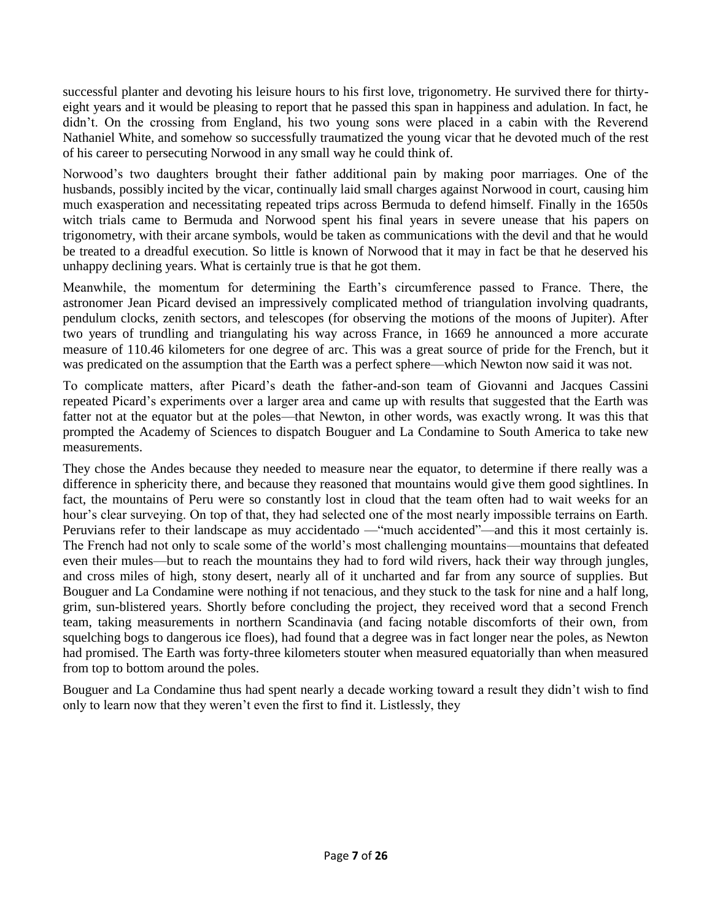successful planter and devoting his leisure hours to his first love, trigonometry. He survived there for thirtyeight years and it would be pleasing to report that he passed this span in happiness and adulation. In fact, he didn't. On the crossing from England, his two young sons were placed in a cabin with the Reverend Nathaniel White, and somehow so successfully traumatized the young vicar that he devoted much of the rest of his career to persecuting Norwood in any small way he could think of.

Norwood's two daughters brought their father additional pain by making poor marriages. One of the husbands, possibly incited by the vicar, continually laid small charges against Norwood in court, causing him much exasperation and necessitating repeated trips across Bermuda to defend himself. Finally in the 1650s witch trials came to Bermuda and Norwood spent his final years in severe unease that his papers on trigonometry, with their arcane symbols, would be taken as communications with the devil and that he would be treated to a dreadful execution. So little is known of Norwood that it may in fact be that he deserved his unhappy declining years. What is certainly true is that he got them.

Meanwhile, the momentum for determining the Earth's circumference passed to France. There, the astronomer Jean Picard devised an impressively complicated method of triangulation involving quadrants, pendulum clocks, zenith sectors, and telescopes (for observing the motions of the moons of Jupiter). After two years of trundling and triangulating his way across France, in 1669 he announced a more accurate measure of 110.46 kilometers for one degree of arc. This was a great source of pride for the French, but it was predicated on the assumption that the Earth was a perfect sphere—which Newton now said it was not.

To complicate matters, after Picard's death the father-and-son team of Giovanni and Jacques Cassini repeated Picard's experiments over a larger area and came up with results that suggested that the Earth was fatter not at the equator but at the poles—that Newton, in other words, was exactly wrong. It was this that prompted the Academy of Sciences to dispatch Bouguer and La Condamine to South America to take new measurements.

They chose the Andes because they needed to measure near the equator, to determine if there really was a difference in sphericity there, and because they reasoned that mountains would give them good sightlines. In fact, the mountains of Peru were so constantly lost in cloud that the team often had to wait weeks for an hour's clear surveying. On top of that, they had selected one of the most nearly impossible terrains on Earth. Peruvians refer to their landscape as muy accidentado —"much accidented"—and this it most certainly is. The French had not only to scale some of the world's most challenging mountains—mountains that defeated even their mules—but to reach the mountains they had to ford wild rivers, hack their way through jungles, and cross miles of high, stony desert, nearly all of it uncharted and far from any source of supplies. But Bouguer and La Condamine were nothing if not tenacious, and they stuck to the task for nine and a half long, grim, sun-blistered years. Shortly before concluding the project, they received word that a second French team, taking measurements in northern Scandinavia (and facing notable discomforts of their own, from squelching bogs to dangerous ice floes), had found that a degree was in fact longer near the poles, as Newton had promised. The Earth was forty-three kilometers stouter when measured equatorially than when measured from top to bottom around the poles.

Bouguer and La Condamine thus had spent nearly a decade working toward a result they didn't wish to find only to learn now that they weren't even the first to find it. Listlessly, they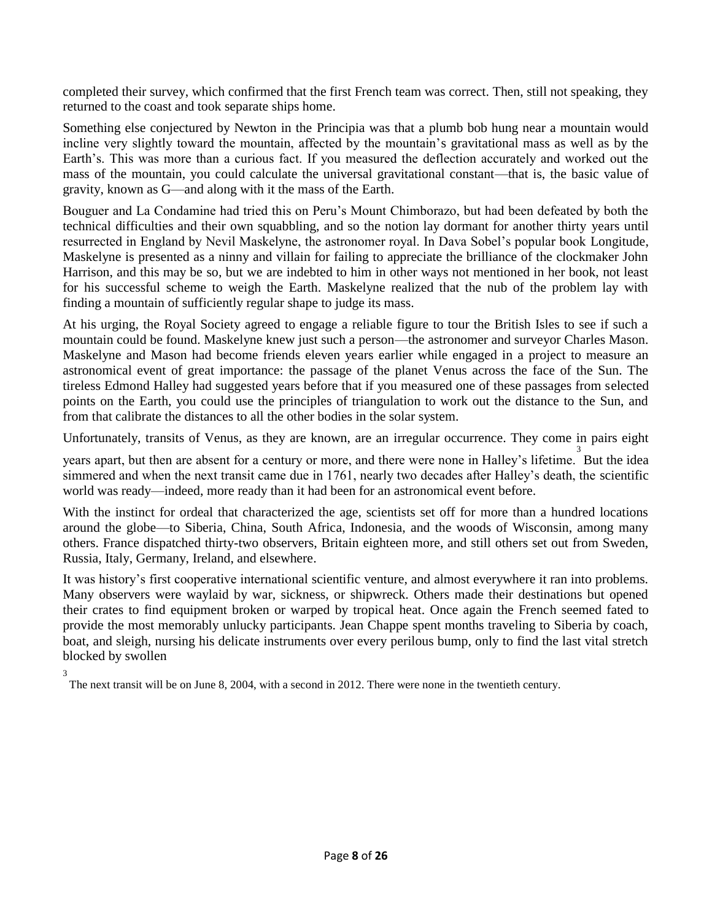completed their survey, which confirmed that the first French team was correct. Then, still not speaking, they returned to the coast and took separate ships home.

Something else conjectured by Newton in the Principia was that a plumb bob hung near a mountain would incline very slightly toward the mountain, affected by the mountain's gravitational mass as well as by the Earth's. This was more than a curious fact. If you measured the deflection accurately and worked out the mass of the mountain, you could calculate the universal gravitational constant—that is, the basic value of gravity, known as G—and along with it the mass of the Earth.

Bouguer and La Condamine had tried this on Peru's Mount Chimborazo, but had been defeated by both the technical difficulties and their own squabbling, and so the notion lay dormant for another thirty years until resurrected in England by Nevil Maskelyne, the astronomer royal. In Dava Sobel's popular book Longitude, Maskelyne is presented as a ninny and villain for failing to appreciate the brilliance of the clockmaker John Harrison, and this may be so, but we are indebted to him in other ways not mentioned in her book, not least for his successful scheme to weigh the Earth. Maskelyne realized that the nub of the problem lay with finding a mountain of sufficiently regular shape to judge its mass.

At his urging, the Royal Society agreed to engage a reliable figure to tour the British Isles to see if such a mountain could be found. Maskelyne knew just such a person—the astronomer and surveyor Charles Mason. Maskelyne and Mason had become friends eleven years earlier while engaged in a project to measure an astronomical event of great importance: the passage of the planet Venus across the face of the Sun. The tireless Edmond Halley had suggested years before that if you measured one of these passages from selected points on the Earth, you could use the principles of triangulation to work out the distance to the Sun, and from that calibrate the distances to all the other bodies in the solar system.

Unfortunately, transits of Venus, as they are known, are an irregular occurrence. They come in pairs eight

years apart, but then are absent for a century or more, and there were none in Halley's lifetime. But the idea simmered and when the next transit came due in 1761, nearly two decades after Halley's death, the scientific world was ready—indeed, more ready than it had been for an astronomical event before.

With the instinct for ordeal that characterized the age, scientists set off for more than a hundred locations around the globe—to Siberia, China, South Africa, Indonesia, and the woods of Wisconsin, among many others. France dispatched thirty-two observers, Britain eighteen more, and still others set out from Sweden, Russia, Italy, Germany, Ireland, and elsewhere.

It was history's first cooperative international scientific venture, and almost everywhere it ran into problems. Many observers were waylaid by war, sickness, or shipwreck. Others made their destinations but opened their crates to find equipment broken or warped by tropical heat. Once again the French seemed fated to provide the most memorably unlucky participants. Jean Chappe spent months traveling to Siberia by coach, boat, and sleigh, nursing his delicate instruments over every perilous bump, only to find the last vital stretch blocked by swollen

The next transit will be on June 8, 2004, with a second in 2012. There were none in the twentieth century.

<sup>3</sup>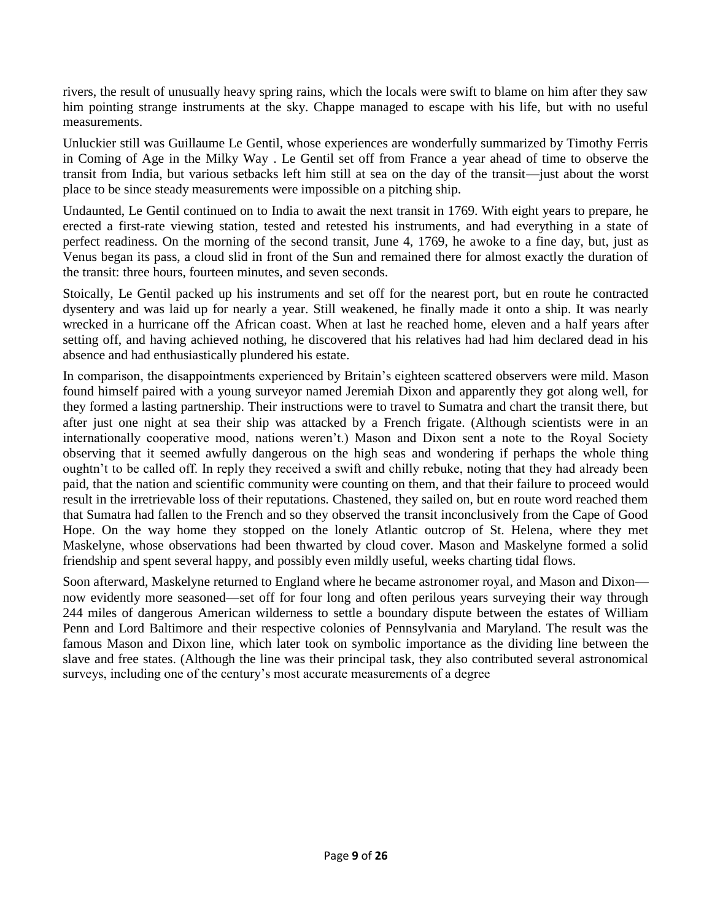rivers, the result of unusually heavy spring rains, which the locals were swift to blame on him after they saw him pointing strange instruments at the sky. Chappe managed to escape with his life, but with no useful measurements.

Unluckier still was Guillaume Le Gentil, whose experiences are wonderfully summarized by Timothy Ferris in Coming of Age in the Milky Way . Le Gentil set off from France a year ahead of time to observe the transit from India, but various setbacks left him still at sea on the day of the transit—just about the worst place to be since steady measurements were impossible on a pitching ship.

Undaunted, Le Gentil continued on to India to await the next transit in 1769. With eight years to prepare, he erected a first-rate viewing station, tested and retested his instruments, and had everything in a state of perfect readiness. On the morning of the second transit, June 4, 1769, he awoke to a fine day, but, just as Venus began its pass, a cloud slid in front of the Sun and remained there for almost exactly the duration of the transit: three hours, fourteen minutes, and seven seconds.

Stoically, Le Gentil packed up his instruments and set off for the nearest port, but en route he contracted dysentery and was laid up for nearly a year. Still weakened, he finally made it onto a ship. It was nearly wrecked in a hurricane off the African coast. When at last he reached home, eleven and a half years after setting off, and having achieved nothing, he discovered that his relatives had had him declared dead in his absence and had enthusiastically plundered his estate.

In comparison, the disappointments experienced by Britain's eighteen scattered observers were mild. Mason found himself paired with a young surveyor named Jeremiah Dixon and apparently they got along well, for they formed a lasting partnership. Their instructions were to travel to Sumatra and chart the transit there, but after just one night at sea their ship was attacked by a French frigate. (Although scientists were in an internationally cooperative mood, nations weren't.) Mason and Dixon sent a note to the Royal Society observing that it seemed awfully dangerous on the high seas and wondering if perhaps the whole thing oughtn't to be called off. In reply they received a swift and chilly rebuke, noting that they had already been paid, that the nation and scientific community were counting on them, and that their failure to proceed would result in the irretrievable loss of their reputations. Chastened, they sailed on, but en route word reached them that Sumatra had fallen to the French and so they observed the transit inconclusively from the Cape of Good Hope. On the way home they stopped on the lonely Atlantic outcrop of St. Helena, where they met Maskelyne, whose observations had been thwarted by cloud cover. Mason and Maskelyne formed a solid friendship and spent several happy, and possibly even mildly useful, weeks charting tidal flows.

Soon afterward, Maskelyne returned to England where he became astronomer royal, and Mason and Dixon now evidently more seasoned—set off for four long and often perilous years surveying their way through 244 miles of dangerous American wilderness to settle a boundary dispute between the estates of William Penn and Lord Baltimore and their respective colonies of Pennsylvania and Maryland. The result was the famous Mason and Dixon line, which later took on symbolic importance as the dividing line between the slave and free states. (Although the line was their principal task, they also contributed several astronomical surveys, including one of the century's most accurate measurements of a degree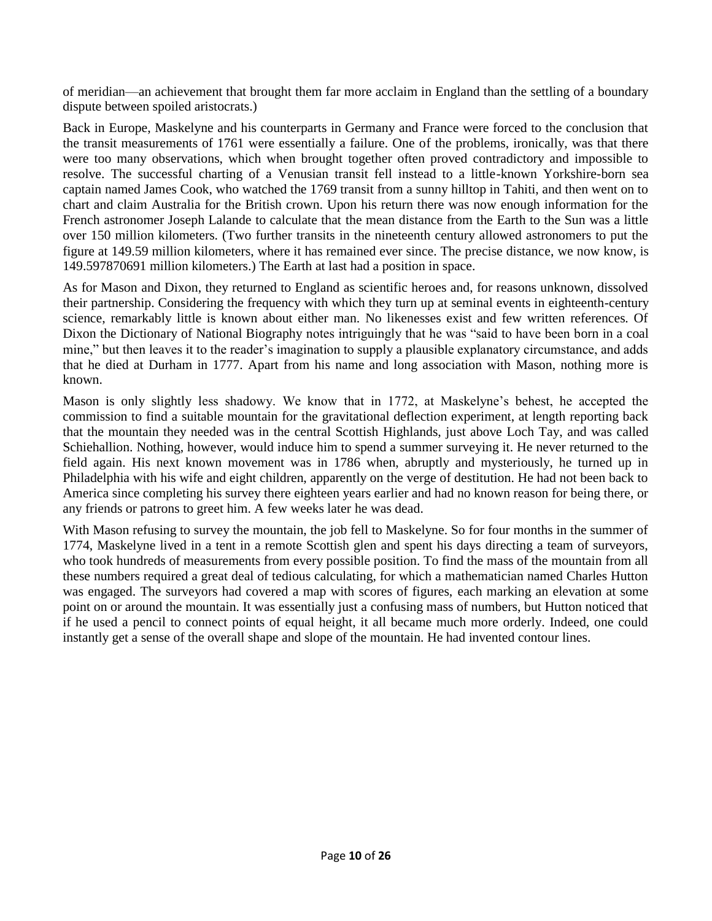of meridian—an achievement that brought them far more acclaim in England than the settling of a boundary dispute between spoiled aristocrats.)

Back in Europe, Maskelyne and his counterparts in Germany and France were forced to the conclusion that the transit measurements of 1761 were essentially a failure. One of the problems, ironically, was that there were too many observations, which when brought together often proved contradictory and impossible to resolve. The successful charting of a Venusian transit fell instead to a little-known Yorkshire-born sea captain named James Cook, who watched the 1769 transit from a sunny hilltop in Tahiti, and then went on to chart and claim Australia for the British crown. Upon his return there was now enough information for the French astronomer Joseph Lalande to calculate that the mean distance from the Earth to the Sun was a little over 150 million kilometers. (Two further transits in the nineteenth century allowed astronomers to put the figure at 149.59 million kilometers, where it has remained ever since. The precise distance, we now know, is 149.597870691 million kilometers.) The Earth at last had a position in space.

As for Mason and Dixon, they returned to England as scientific heroes and, for reasons unknown, dissolved their partnership. Considering the frequency with which they turn up at seminal events in eighteenth-century science, remarkably little is known about either man. No likenesses exist and few written references. Of Dixon the Dictionary of National Biography notes intriguingly that he was "said to have been born in a coal mine," but then leaves it to the reader's imagination to supply a plausible explanatory circumstance, and adds that he died at Durham in 1777. Apart from his name and long association with Mason, nothing more is known.

Mason is only slightly less shadowy. We know that in 1772, at Maskelyne's behest, he accepted the commission to find a suitable mountain for the gravitational deflection experiment, at length reporting back that the mountain they needed was in the central Scottish Highlands, just above Loch Tay, and was called Schiehallion. Nothing, however, would induce him to spend a summer surveying it. He never returned to the field again. His next known movement was in 1786 when, abruptly and mysteriously, he turned up in Philadelphia with his wife and eight children, apparently on the verge of destitution. He had not been back to America since completing his survey there eighteen years earlier and had no known reason for being there, or any friends or patrons to greet him. A few weeks later he was dead.

With Mason refusing to survey the mountain, the job fell to Maskelyne. So for four months in the summer of 1774, Maskelyne lived in a tent in a remote Scottish glen and spent his days directing a team of surveyors, who took hundreds of measurements from every possible position. To find the mass of the mountain from all these numbers required a great deal of tedious calculating, for which a mathematician named Charles Hutton was engaged. The surveyors had covered a map with scores of figures, each marking an elevation at some point on or around the mountain. It was essentially just a confusing mass of numbers, but Hutton noticed that if he used a pencil to connect points of equal height, it all became much more orderly. Indeed, one could instantly get a sense of the overall shape and slope of the mountain. He had invented contour lines.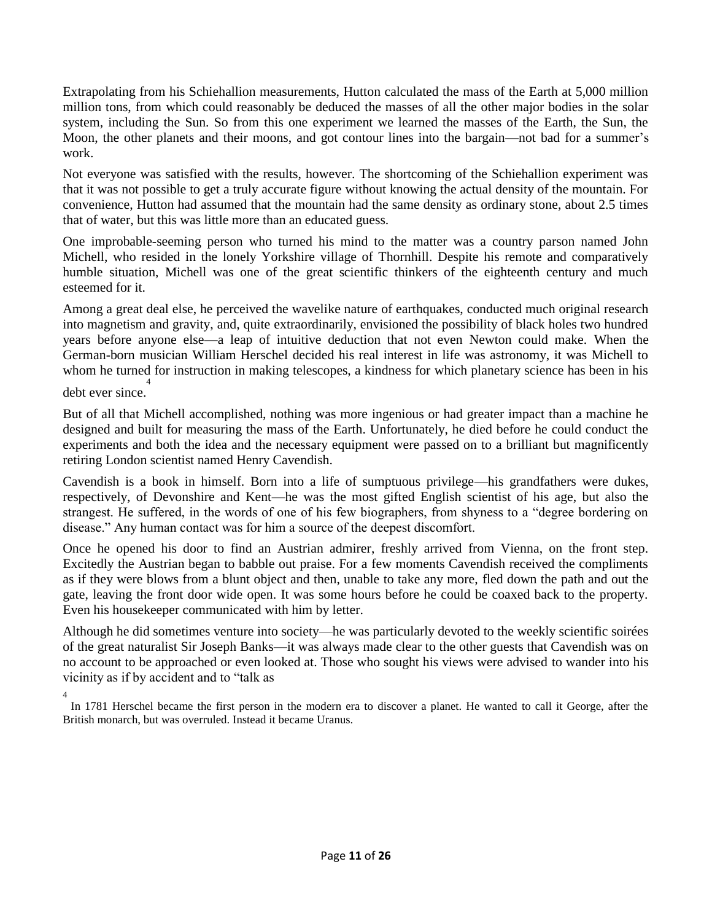Extrapolating from his Schiehallion measurements, Hutton calculated the mass of the Earth at 5,000 million million tons, from which could reasonably be deduced the masses of all the other major bodies in the solar system, including the Sun. So from this one experiment we learned the masses of the Earth, the Sun, the Moon, the other planets and their moons, and got contour lines into the bargain—not bad for a summer's work.

Not everyone was satisfied with the results, however. The shortcoming of the Schiehallion experiment was that it was not possible to get a truly accurate figure without knowing the actual density of the mountain. For convenience, Hutton had assumed that the mountain had the same density as ordinary stone, about 2.5 times that of water, but this was little more than an educated guess.

One improbable-seeming person who turned his mind to the matter was a country parson named John Michell, who resided in the lonely Yorkshire village of Thornhill. Despite his remote and comparatively humble situation, Michell was one of the great scientific thinkers of the eighteenth century and much esteemed for it.

Among a great deal else, he perceived the wavelike nature of earthquakes, conducted much original research into magnetism and gravity, and, quite extraordinarily, envisioned the possibility of black holes two hundred years before anyone else—a leap of intuitive deduction that not even Newton could make. When the German-born musician William Herschel decided his real interest in life was astronomy, it was Michell to whom he turned for instruction in making telescopes, a kindness for which planetary science has been in his 4

debt ever since.

But of all that Michell accomplished, nothing was more ingenious or had greater impact than a machine he designed and built for measuring the mass of the Earth. Unfortunately, he died before he could conduct the experiments and both the idea and the necessary equipment were passed on to a brilliant but magnificently retiring London scientist named Henry Cavendish.

Cavendish is a book in himself. Born into a life of sumptuous privilege—his grandfathers were dukes, respectively, of Devonshire and Kent—he was the most gifted English scientist of his age, but also the strangest. He suffered, in the words of one of his few biographers, from shyness to a "degree bordering on disease." Any human contact was for him a source of the deepest discomfort.

Once he opened his door to find an Austrian admirer, freshly arrived from Vienna, on the front step. Excitedly the Austrian began to babble out praise. For a few moments Cavendish received the compliments as if they were blows from a blunt object and then, unable to take any more, fled down the path and out the gate, leaving the front door wide open. It was some hours before he could be coaxed back to the property. Even his housekeeper communicated with him by letter.

Although he did sometimes venture into society—he was particularly devoted to the weekly scientific soirées of the great naturalist Sir Joseph Banks—it was always made clear to the other guests that Cavendish was on no account to be approached or even looked at. Those who sought his views were advised to wander into his vicinity as if by accident and to "talk as

4

In 1781 Herschel became the first person in the modern era to discover a planet. He wanted to call it George, after the British monarch, but was overruled. Instead it became Uranus.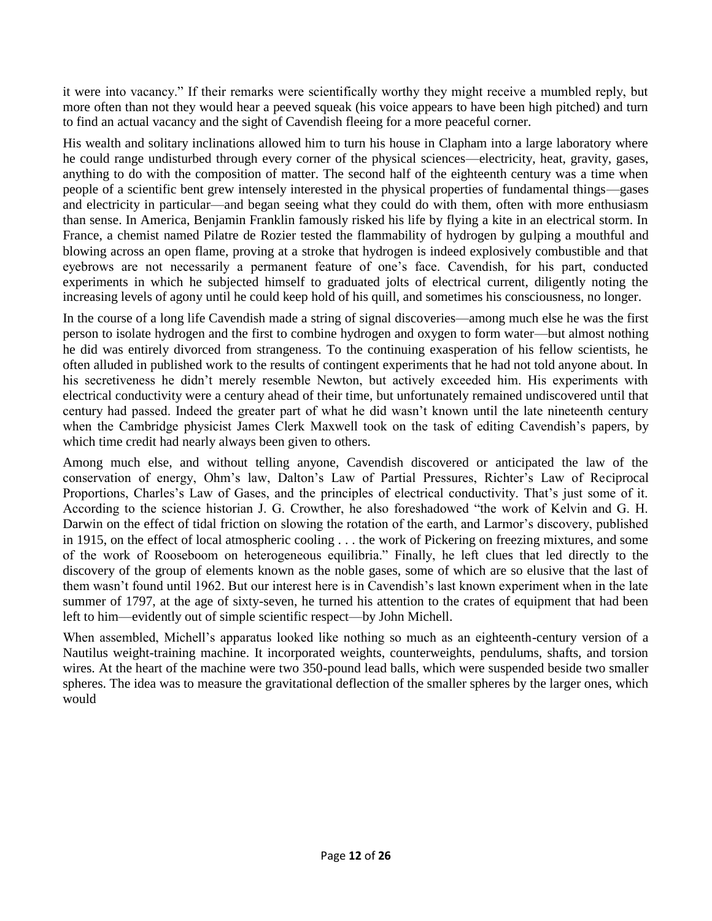it were into vacancy." If their remarks were scientifically worthy they might receive a mumbled reply, but more often than not they would hear a peeved squeak (his voice appears to have been high pitched) and turn to find an actual vacancy and the sight of Cavendish fleeing for a more peaceful corner.

His wealth and solitary inclinations allowed him to turn his house in Clapham into a large laboratory where he could range undisturbed through every corner of the physical sciences—electricity, heat, gravity, gases, anything to do with the composition of matter. The second half of the eighteenth century was a time when people of a scientific bent grew intensely interested in the physical properties of fundamental things—gases and electricity in particular—and began seeing what they could do with them, often with more enthusiasm than sense. In America, Benjamin Franklin famously risked his life by flying a kite in an electrical storm. In France, a chemist named Pilatre de Rozier tested the flammability of hydrogen by gulping a mouthful and blowing across an open flame, proving at a stroke that hydrogen is indeed explosively combustible and that eyebrows are not necessarily a permanent feature of one's face. Cavendish, for his part, conducted experiments in which he subjected himself to graduated jolts of electrical current, diligently noting the increasing levels of agony until he could keep hold of his quill, and sometimes his consciousness, no longer.

In the course of a long life Cavendish made a string of signal discoveries—among much else he was the first person to isolate hydrogen and the first to combine hydrogen and oxygen to form water—but almost nothing he did was entirely divorced from strangeness. To the continuing exasperation of his fellow scientists, he often alluded in published work to the results of contingent experiments that he had not told anyone about. In his secretiveness he didn't merely resemble Newton, but actively exceeded him. His experiments with electrical conductivity were a century ahead of their time, but unfortunately remained undiscovered until that century had passed. Indeed the greater part of what he did wasn't known until the late nineteenth century when the Cambridge physicist James Clerk Maxwell took on the task of editing Cavendish's papers, by which time credit had nearly always been given to others.

Among much else, and without telling anyone, Cavendish discovered or anticipated the law of the conservation of energy, Ohm's law, Dalton's Law of Partial Pressures, Richter's Law of Reciprocal Proportions, Charles's Law of Gases, and the principles of electrical conductivity. That's just some of it. According to the science historian J. G. Crowther, he also foreshadowed "the work of Kelvin and G. H. Darwin on the effect of tidal friction on slowing the rotation of the earth, and Larmor's discovery, published in 1915, on the effect of local atmospheric cooling . . . the work of Pickering on freezing mixtures, and some of the work of Rooseboom on heterogeneous equilibria." Finally, he left clues that led directly to the discovery of the group of elements known as the noble gases, some of which are so elusive that the last of them wasn't found until 1962. But our interest here is in Cavendish's last known experiment when in the late summer of 1797, at the age of sixty-seven, he turned his attention to the crates of equipment that had been left to him—evidently out of simple scientific respect—by John Michell.

When assembled, Michell's apparatus looked like nothing so much as an eighteenth-century version of a Nautilus weight-training machine. It incorporated weights, counterweights, pendulums, shafts, and torsion wires. At the heart of the machine were two 350-pound lead balls, which were suspended beside two smaller spheres. The idea was to measure the gravitational deflection of the smaller spheres by the larger ones, which would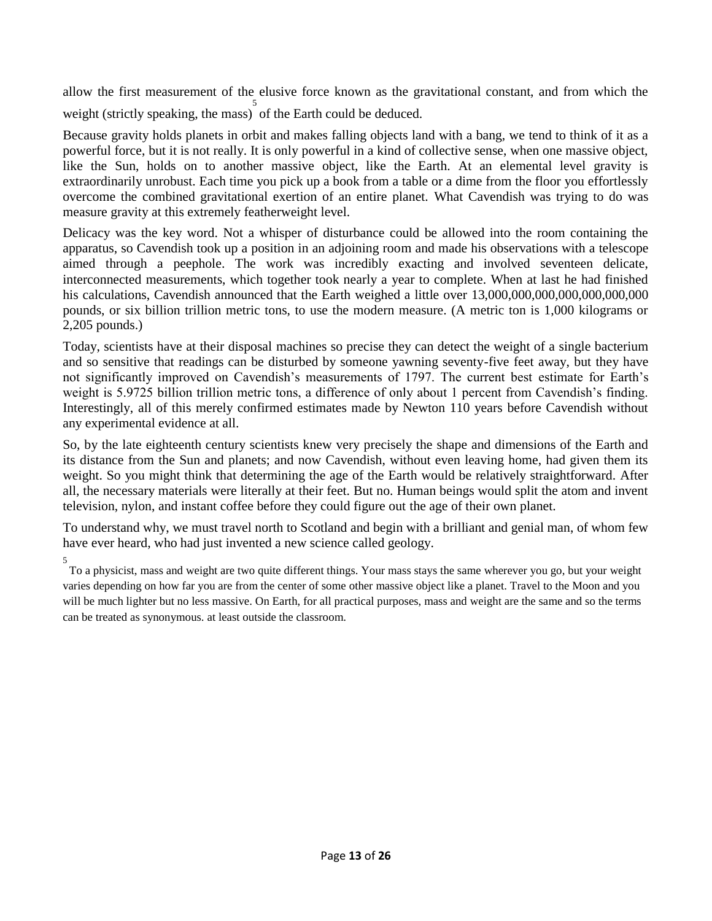allow the first measurement of the elusive force known as the gravitational constant, and from which the weight (strictly speaking, the mass) of the Earth could be deduced.

Because gravity holds planets in orbit and makes falling objects land with a bang, we tend to think of it as a powerful force, but it is not really. It is only powerful in a kind of collective sense, when one massive object, like the Sun, holds on to another massive object, like the Earth. At an elemental level gravity is extraordinarily unrobust. Each time you pick up a book from a table or a dime from the floor you effortlessly overcome the combined gravitational exertion of an entire planet. What Cavendish was trying to do was measure gravity at this extremely featherweight level.

Delicacy was the key word. Not a whisper of disturbance could be allowed into the room containing the apparatus, so Cavendish took up a position in an adjoining room and made his observations with a telescope aimed through a peephole. The work was incredibly exacting and involved seventeen delicate, interconnected measurements, which together took nearly a year to complete. When at last he had finished his calculations, Cavendish announced that the Earth weighed a little over  $13,000,000,000,000,000,000,000,000$ pounds, or six billion trillion metric tons, to use the modern measure. (A metric ton is 1,000 kilograms or 2,205 pounds.)

Today, scientists have at their disposal machines so precise they can detect the weight of a single bacterium and so sensitive that readings can be disturbed by someone yawning seventy-five feet away, but they have not significantly improved on Cavendish's measurements of 1797. The current best estimate for Earth's weight is 5.9725 billion trillion metric tons, a difference of only about 1 percent from Cavendish's finding. Interestingly, all of this merely confirmed estimates made by Newton 110 years before Cavendish without any experimental evidence at all.

So, by the late eighteenth century scientists knew very precisely the shape and dimensions of the Earth and its distance from the Sun and planets; and now Cavendish, without even leaving home, had given them its weight. So you might think that determining the age of the Earth would be relatively straightforward. After all, the necessary materials were literally at their feet. But no. Human beings would split the atom and invent television, nylon, and instant coffee before they could figure out the age of their own planet.

To understand why, we must travel north to Scotland and begin with a brilliant and genial man, of whom few have ever heard, who had just invented a new science called geology.

5 To a physicist, mass and weight are two quite different things. Your mass stays the same wherever you go, but your weight varies depending on how far you are from the center of some other massive object like a planet. Travel to the Moon and you will be much lighter but no less massive. On Earth, for all practical purposes, mass and weight are the same and so the terms can be treated as synonymous. at least outside the classroom.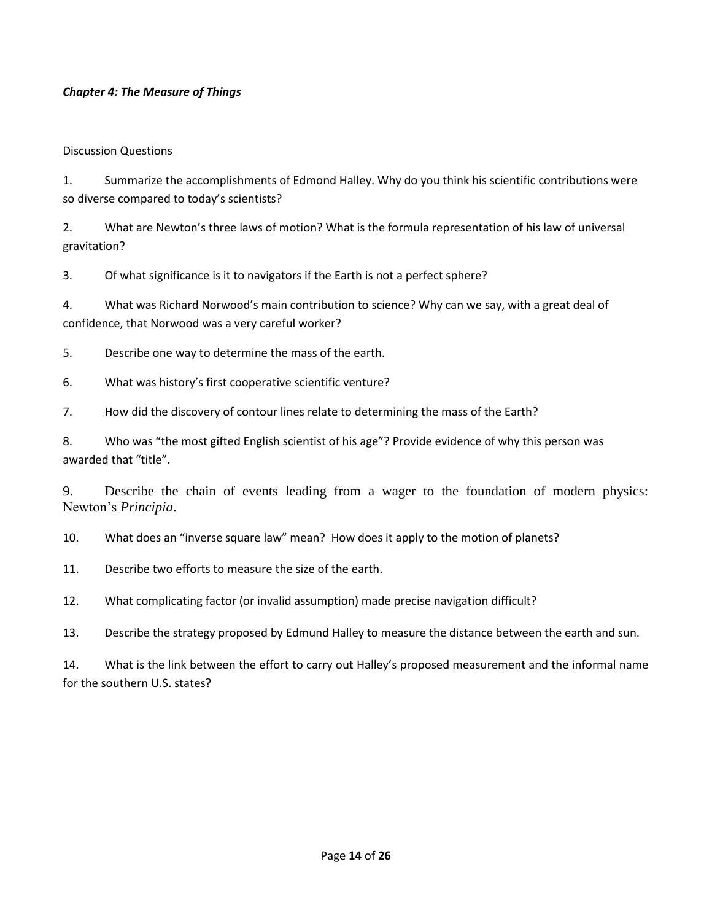#### *Chapter 4: The Measure of Things*

#### Discussion Questions

1. Summarize the accomplishments of Edmond Halley. Why do you think his scientific contributions were so diverse compared to today's scientists?

2. What are Newton's three laws of motion? What is the formula representation of his law of universal gravitation?

3. Of what significance is it to navigators if the Earth is not a perfect sphere?

4. What was Richard Norwood's main contribution to science? Why can we say, with a great deal of confidence, that Norwood was a very careful worker?

5. Describe one way to determine the mass of the earth.

6. What was history's first cooperative scientific venture?

7. How did the discovery of contour lines relate to determining the mass of the Earth?

8. Who was "the most gifted English scientist of his age"? Provide evidence of why this person was awarded that "title".

9. Describe the chain of events leading from a wager to the foundation of modern physics: Newton's *Principia*.

10. What does an "inverse square law" mean? How does it apply to the motion of planets?

11. Describe two efforts to measure the size of the earth.

12. What complicating factor (or invalid assumption) made precise navigation difficult?

13. Describe the strategy proposed by Edmund Halley to measure the distance between the earth and sun.

14. What is the link between the effort to carry out Halley's proposed measurement and the informal name for the southern U.S. states?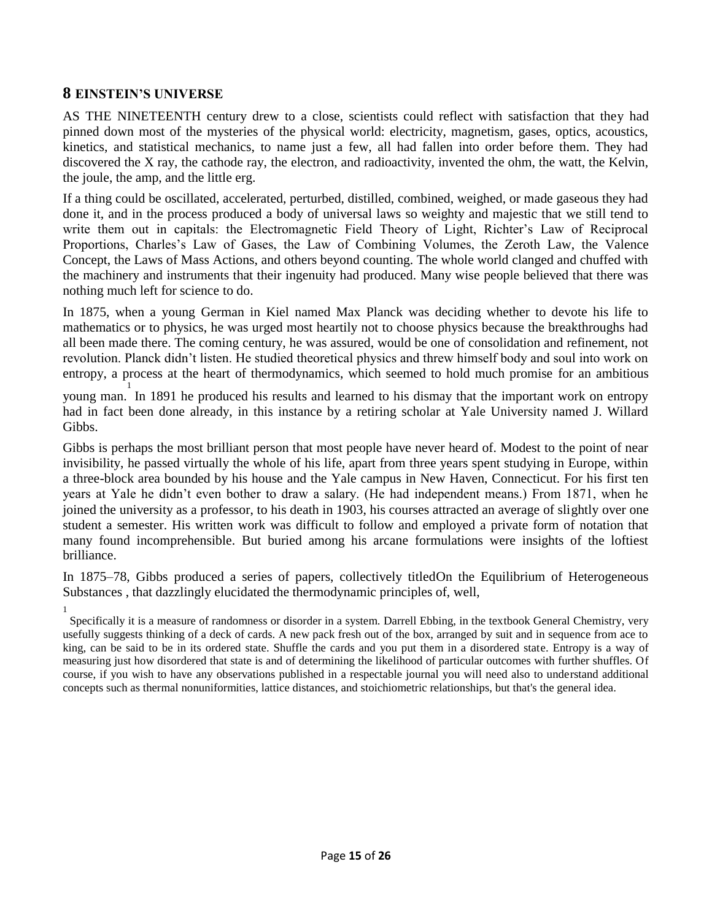### **8 EINSTEIN'S UNIVERSE**

1

AS THE NINETEENTH century drew to a close, scientists could reflect with satisfaction that they had pinned down most of the mysteries of the physical world: electricity, magnetism, gases, optics, acoustics, kinetics, and statistical mechanics, to name just a few, all had fallen into order before them. They had discovered the X ray, the cathode ray, the electron, and radioactivity, invented the ohm, the watt, the Kelvin, the joule, the amp, and the little erg.

If a thing could be oscillated, accelerated, perturbed, distilled, combined, weighed, or made gaseous they had done it, and in the process produced a body of universal laws so weighty and majestic that we still tend to write them out in capitals: the Electromagnetic Field Theory of Light, Richter's Law of Reciprocal Proportions, Charles's Law of Gases, the Law of Combining Volumes, the Zeroth Law, the Valence Concept, the Laws of Mass Actions, and others beyond counting. The whole world clanged and chuffed with the machinery and instruments that their ingenuity had produced. Many wise people believed that there was nothing much left for science to do.

In 1875, when a young German in Kiel named Max Planck was deciding whether to devote his life to mathematics or to physics, he was urged most heartily not to choose physics because the breakthroughs had all been made there. The coming century, he was assured, would be one of consolidation and refinement, not revolution. Planck didn't listen. He studied theoretical physics and threw himself body and soul into work on entropy, a process at the heart of thermodynamics, which seemed to hold much promise for an ambitious

young man. 1 In 1891 he produced his results and learned to his dismay that the important work on entropy had in fact been done already, in this instance by a retiring scholar at Yale University named J. Willard Gibbs.

Gibbs is perhaps the most brilliant person that most people have never heard of. Modest to the point of near invisibility, he passed virtually the whole of his life, apart from three years spent studying in Europe, within a three-block area bounded by his house and the Yale campus in New Haven, Connecticut. For his first ten years at Yale he didn't even bother to draw a salary. (He had independent means.) From 1871, when he joined the university as a professor, to his death in 1903, his courses attracted an average of slightly over one student a semester. His written work was difficult to follow and employed a private form of notation that many found incomprehensible. But buried among his arcane formulations were insights of the loftiest brilliance.

In 1875–78, Gibbs produced a series of papers, collectively titledOn the Equilibrium of Heterogeneous Substances , that dazzlingly elucidated the thermodynamic principles of, well,

Specifically it is a measure of randomness or disorder in a system. Darrell Ebbing, in the textbook General Chemistry, very usefully suggests thinking of a deck of cards. A new pack fresh out of the box, arranged by suit and in sequence from ace to king, can be said to be in its ordered state. Shuffle the cards and you put them in a disordered state. Entropy is a way of measuring just how disordered that state is and of determining the likelihood of particular outcomes with further shuffles. Of course, if you wish to have any observations published in a respectable journal you will need also to understand additional concepts such as thermal nonuniformities, lattice distances, and stoichiometric relationships, but that's the general idea.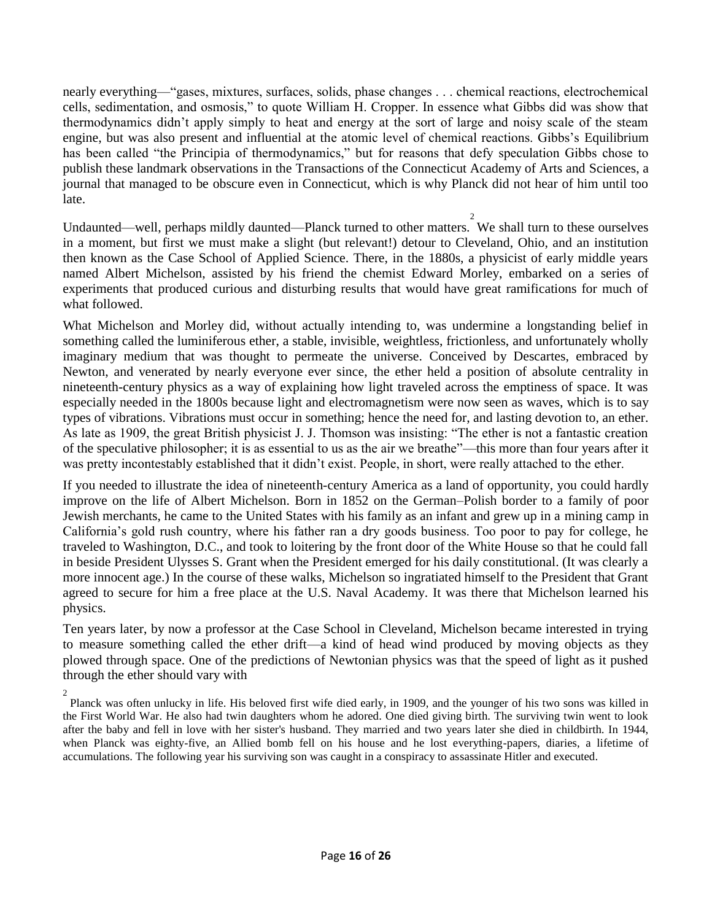nearly everything—"gases, mixtures, surfaces, solids, phase changes . . . chemical reactions, electrochemical cells, sedimentation, and osmosis," to quote William H. Cropper. In essence what Gibbs did was show that thermodynamics didn't apply simply to heat and energy at the sort of large and noisy scale of the steam engine, but was also present and influential at the atomic level of chemical reactions. Gibbs's Equilibrium has been called "the Principia of thermodynamics," but for reasons that defy speculation Gibbs chose to publish these landmark observations in the Transactions of the Connecticut Academy of Arts and Sciences, a journal that managed to be obscure even in Connecticut, which is why Planck did not hear of him until too late.

Undaunted—well, perhaps mildly daunted—Planck turned to other matters. 2 We shall turn to these ourselves in a moment, but first we must make a slight (but relevant!) detour to Cleveland, Ohio, and an institution then known as the Case School of Applied Science. There, in the 1880s, a physicist of early middle years named Albert Michelson, assisted by his friend the chemist Edward Morley, embarked on a series of experiments that produced curious and disturbing results that would have great ramifications for much of what followed.

What Michelson and Morley did, without actually intending to, was undermine a longstanding belief in something called the luminiferous ether, a stable, invisible, weightless, frictionless, and unfortunately wholly imaginary medium that was thought to permeate the universe. Conceived by Descartes, embraced by Newton, and venerated by nearly everyone ever since, the ether held a position of absolute centrality in nineteenth-century physics as a way of explaining how light traveled across the emptiness of space. It was especially needed in the 1800s because light and electromagnetism were now seen as waves, which is to say types of vibrations. Vibrations must occur in something; hence the need for, and lasting devotion to, an ether. As late as 1909, the great British physicist J. J. Thomson was insisting: "The ether is not a fantastic creation of the speculative philosopher; it is as essential to us as the air we breathe"—this more than four years after it was pretty incontestably established that it didn't exist. People, in short, were really attached to the ether.

If you needed to illustrate the idea of nineteenth-century America as a land of opportunity, you could hardly improve on the life of Albert Michelson. Born in 1852 on the German–Polish border to a family of poor Jewish merchants, he came to the United States with his family as an infant and grew up in a mining camp in California's gold rush country, where his father ran a dry goods business. Too poor to pay for college, he traveled to Washington, D.C., and took to loitering by the front door of the White House so that he could fall in beside President Ulysses S. Grant when the President emerged for his daily constitutional. (It was clearly a more innocent age.) In the course of these walks, Michelson so ingratiated himself to the President that Grant agreed to secure for him a free place at the U.S. Naval Academy. It was there that Michelson learned his physics.

Ten years later, by now a professor at the Case School in Cleveland, Michelson became interested in trying to measure something called the ether drift—a kind of head wind produced by moving objects as they plowed through space. One of the predictions of Newtonian physics was that the speed of light as it pushed through the ether should vary with

Planck was often unlucky in life. His beloved first wife died early, in 1909, and the younger of his two sons was killed in the First World War. He also had twin daughters whom he adored. One died giving birth. The surviving twin went to look after the baby and fell in love with her sister's husband. They married and two years later she died in childbirth. In 1944, when Planck was eighty-five, an Allied bomb fell on his house and he lost everything-papers, diaries, a lifetime of accumulations. The following year his surviving son was caught in a conspiracy to assassinate Hitler and executed.

<sup>2</sup>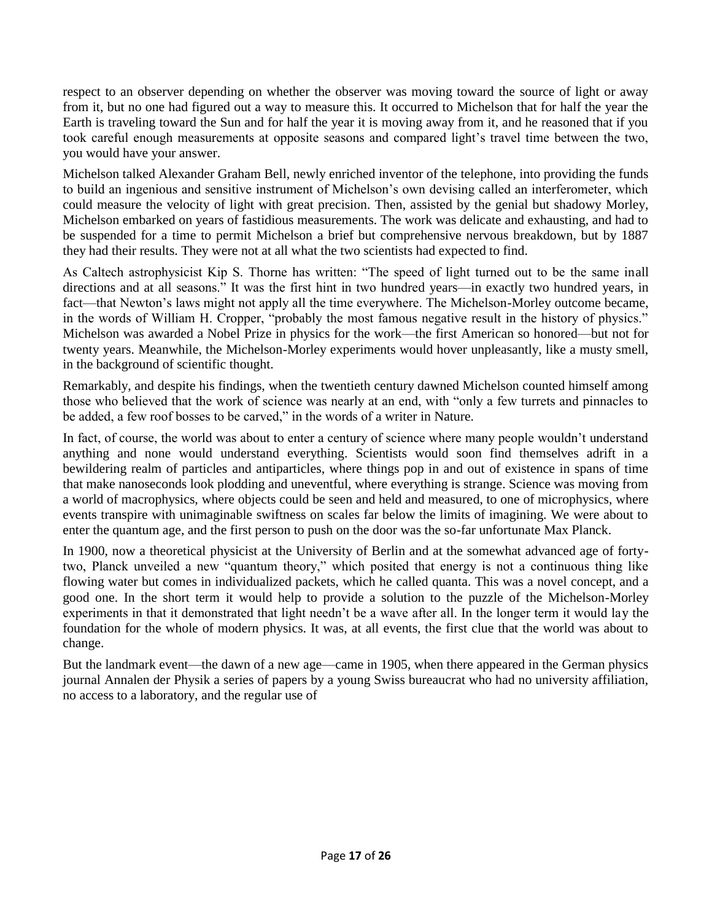respect to an observer depending on whether the observer was moving toward the source of light or away from it, but no one had figured out a way to measure this. It occurred to Michelson that for half the year the Earth is traveling toward the Sun and for half the year it is moving away from it, and he reasoned that if you took careful enough measurements at opposite seasons and compared light's travel time between the two, you would have your answer.

Michelson talked Alexander Graham Bell, newly enriched inventor of the telephone, into providing the funds to build an ingenious and sensitive instrument of Michelson's own devising called an interferometer, which could measure the velocity of light with great precision. Then, assisted by the genial but shadowy Morley, Michelson embarked on years of fastidious measurements. The work was delicate and exhausting, and had to be suspended for a time to permit Michelson a brief but comprehensive nervous breakdown, but by 1887 they had their results. They were not at all what the two scientists had expected to find.

As Caltech astrophysicist Kip S. Thorne has written: "The speed of light turned out to be the same inall directions and at all seasons." It was the first hint in two hundred years—in exactly two hundred years, in fact—that Newton's laws might not apply all the time everywhere. The Michelson-Morley outcome became, in the words of William H. Cropper, "probably the most famous negative result in the history of physics." Michelson was awarded a Nobel Prize in physics for the work—the first American so honored—but not for twenty years. Meanwhile, the Michelson-Morley experiments would hover unpleasantly, like a musty smell, in the background of scientific thought.

Remarkably, and despite his findings, when the twentieth century dawned Michelson counted himself among those who believed that the work of science was nearly at an end, with "only a few turrets and pinnacles to be added, a few roof bosses to be carved," in the words of a writer in Nature.

In fact, of course, the world was about to enter a century of science where many people wouldn't understand anything and none would understand everything. Scientists would soon find themselves adrift in a bewildering realm of particles and antiparticles, where things pop in and out of existence in spans of time that make nanoseconds look plodding and uneventful, where everything is strange. Science was moving from a world of macrophysics, where objects could be seen and held and measured, to one of microphysics, where events transpire with unimaginable swiftness on scales far below the limits of imagining. We were about to enter the quantum age, and the first person to push on the door was the so-far unfortunate Max Planck.

In 1900, now a theoretical physicist at the University of Berlin and at the somewhat advanced age of fortytwo, Planck unveiled a new "quantum theory," which posited that energy is not a continuous thing like flowing water but comes in individualized packets, which he called quanta. This was a novel concept, and a good one. In the short term it would help to provide a solution to the puzzle of the Michelson-Morley experiments in that it demonstrated that light needn't be a wave after all. In the longer term it would lay the foundation for the whole of modern physics. It was, at all events, the first clue that the world was about to change.

But the landmark event—the dawn of a new age—came in 1905, when there appeared in the German physics journal Annalen der Physik a series of papers by a young Swiss bureaucrat who had no university affiliation, no access to a laboratory, and the regular use of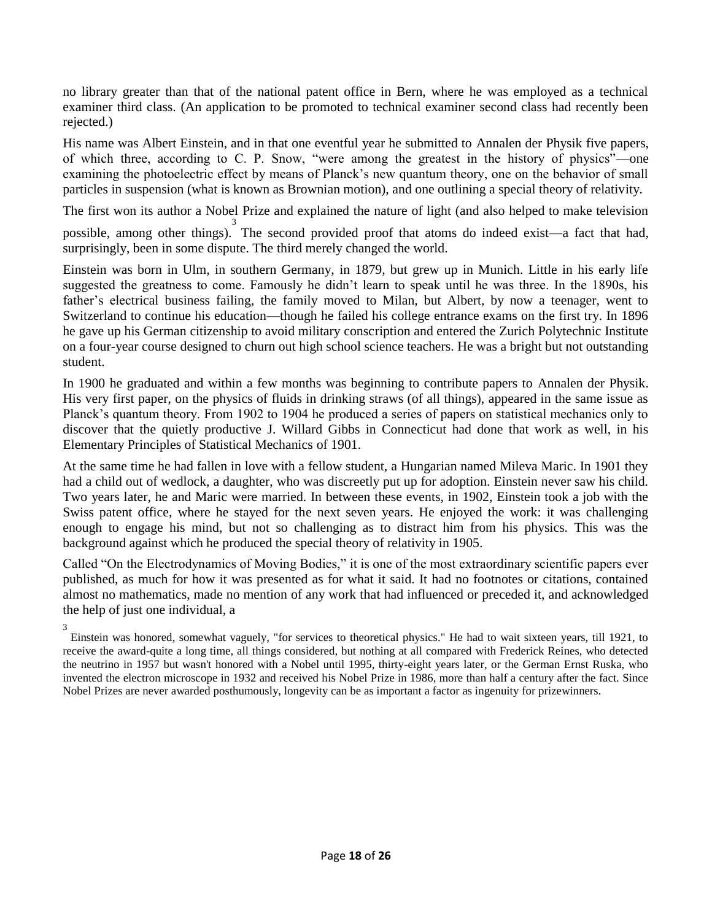no library greater than that of the national patent office in Bern, where he was employed as a technical examiner third class. (An application to be promoted to technical examiner second class had recently been rejected.)

His name was Albert Einstein, and in that one eventful year he submitted to Annalen der Physik five papers, of which three, according to C. P. Snow, "were among the greatest in the history of physics"—one examining the photoelectric effect by means of Planck's new quantum theory, one on the behavior of small particles in suspension (what is known as Brownian motion), and one outlining a special theory of relativity.

The first won its author a Nobel Prize and explained the nature of light (and also helped to make television

possible, among other things). The second provided proof that atoms do indeed exist—a fact that had, surprisingly, been in some dispute. The third merely changed the world.

Einstein was born in Ulm, in southern Germany, in 1879, but grew up in Munich. Little in his early life suggested the greatness to come. Famously he didn't learn to speak until he was three. In the 1890s, his father's electrical business failing, the family moved to Milan, but Albert, by now a teenager, went to Switzerland to continue his education—though he failed his college entrance exams on the first try. In 1896 he gave up his German citizenship to avoid military conscription and entered the Zurich Polytechnic Institute on a four-year course designed to churn out high school science teachers. He was a bright but not outstanding student.

In 1900 he graduated and within a few months was beginning to contribute papers to Annalen der Physik. His very first paper, on the physics of fluids in drinking straws (of all things), appeared in the same issue as Planck's quantum theory. From 1902 to 1904 he produced a series of papers on statistical mechanics only to discover that the quietly productive J. Willard Gibbs in Connecticut had done that work as well, in his Elementary Principles of Statistical Mechanics of 1901.

At the same time he had fallen in love with a fellow student, a Hungarian named Mileva Maric. In 1901 they had a child out of wedlock, a daughter, who was discreetly put up for adoption. Einstein never saw his child. Two years later, he and Maric were married. In between these events, in 1902, Einstein took a job with the Swiss patent office, where he stayed for the next seven years. He enjoyed the work: it was challenging enough to engage his mind, but not so challenging as to distract him from his physics. This was the background against which he produced the special theory of relativity in 1905.

Called "On the Electrodynamics of Moving Bodies," it is one of the most extraordinary scientific papers ever published, as much for how it was presented as for what it said. It had no footnotes or citations, contained almost no mathematics, made no mention of any work that had influenced or preceded it, and acknowledged the help of just one individual, a

3

Einstein was honored, somewhat vaguely, "for services to theoretical physics." He had to wait sixteen years, till 1921, to receive the award-quite a long time, all things considered, but nothing at all compared with Frederick Reines, who detected the neutrino in 1957 but wasn't honored with a Nobel until 1995, thirty-eight years later, or the German Ernst Ruska, who invented the electron microscope in 1932 and received his Nobel Prize in 1986, more than half a century after the fact. Since Nobel Prizes are never awarded posthumously, longevity can be as important a factor as ingenuity for prizewinners.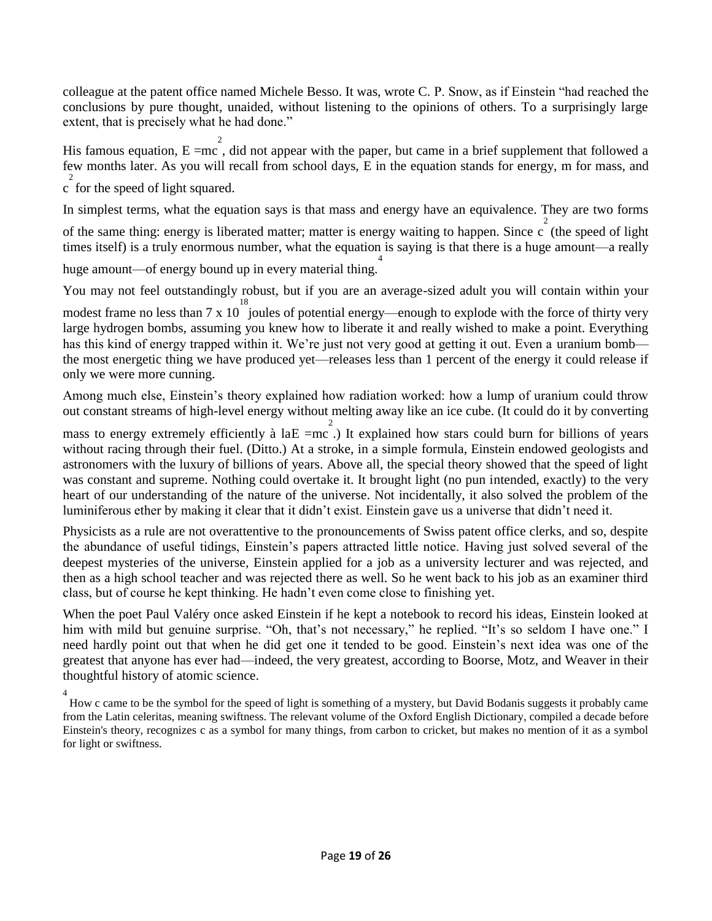colleague at the patent office named Michele Besso. It was, wrote C. P. Snow, as if Einstein "had reached the conclusions by pure thought, unaided, without listening to the opinions of others. To a surprisingly large extent, that is precisely what he had done."

His famous equation,  $E = mc^2$ , did not appear with the paper, but came in a brief supplement that followed a few months later. As you will recall from school days, E in the equation stands for energy, m for mass, and 2

c for the speed of light squared.

In simplest terms, what the equation says is that mass and energy have an equivalence. They are two forms

of the same thing: energy is liberated matter; matter is energy waiting to happen. Since c  $\hat{c}$  (the speed of light times itself) is a truly enormous number, what the equation is saying is that there is a huge amount—a really 4

huge amount—of energy bound up in every material thing.

You may not feel outstandingly robust, but if you are an average-sized adult you will contain within your

modest frame no less than 7 x 10 joules of potential energy—enough to explode with the force of thirty very large hydrogen bombs, assuming you knew how to liberate it and really wished to make a point. Everything has this kind of energy trapped within it. We're just not very good at getting it out. Even a uranium bomb the most energetic thing we have produced yet—releases less than 1 percent of the energy it could release if only we were more cunning.

Among much else, Einstein's theory explained how radiation worked: how a lump of uranium could throw out constant streams of high-level energy without melting away like an ice cube. (It could do it by converting

mass to energy extremely efficiently à laE =mc.) It explained how stars could burn for billions of years without racing through their fuel. (Ditto.) At a stroke, in a simple formula, Einstein endowed geologists and astronomers with the luxury of billions of years. Above all, the special theory showed that the speed of light was constant and supreme. Nothing could overtake it. It brought light (no pun intended, exactly) to the very heart of our understanding of the nature of the universe. Not incidentally, it also solved the problem of the luminiferous ether by making it clear that it didn't exist. Einstein gave us a universe that didn't need it.

Physicists as a rule are not overattentive to the pronouncements of Swiss patent office clerks, and so, despite the abundance of useful tidings, Einstein's papers attracted little notice. Having just solved several of the deepest mysteries of the universe, Einstein applied for a job as a university lecturer and was rejected, and then as a high school teacher and was rejected there as well. So he went back to his job as an examiner third class, but of course he kept thinking. He hadn't even come close to finishing yet.

When the poet Paul Valéry once asked Einstein if he kept a notebook to record his ideas, Einstein looked at him with mild but genuine surprise. "Oh, that's not necessary," he replied. "It's so seldom I have one." I need hardly point out that when he did get one it tended to be good. Einstein's next idea was one of the greatest that anyone has ever had—indeed, the very greatest, according to Boorse, Motz, and Weaver in their thoughtful history of atomic science.

<sup>4</sup>  How c came to be the symbol for the speed of light is something of a mystery, but David Bodanis suggests it probably came from the Latin celeritas, meaning swiftness. The relevant volume of the Oxford English Dictionary, compiled a decade before Einstein's theory, recognizes c as a symbol for many things, from carbon to cricket, but makes no mention of it as a symbol for light or swiftness.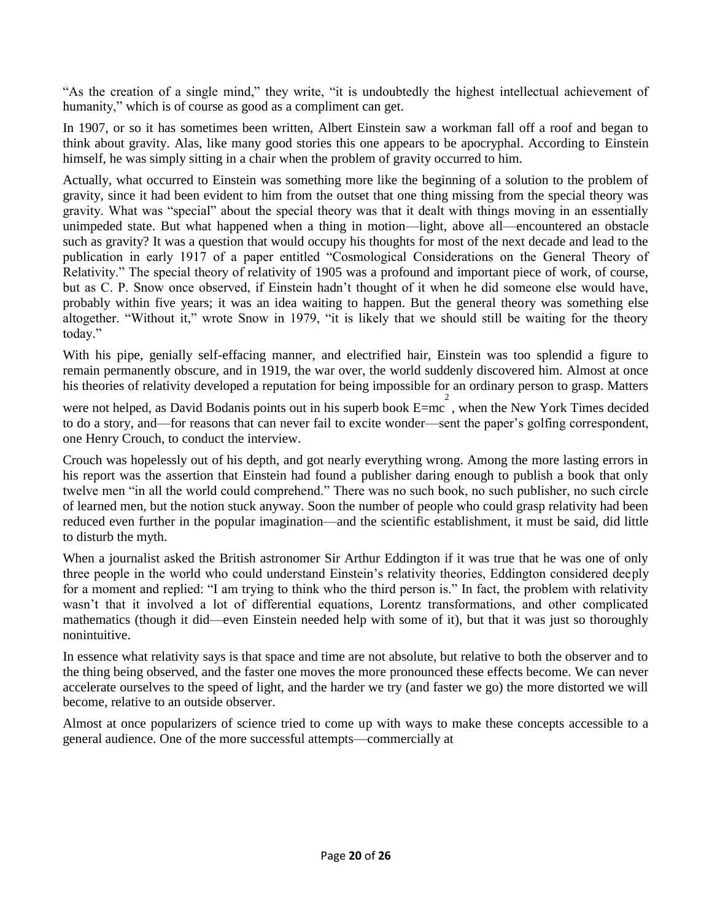"As the creation of a single mind," they write, "it is undoubtedly the highest intellectual achievement of humanity," which is of course as good as a compliment can get.

In 1907, or so it has sometimes been written, Albert Einstein saw a workman fall off a roof and began to think about gravity. Alas, like many good stories this one appears to be apocryphal. According to Einstein himself, he was simply sitting in a chair when the problem of gravity occurred to him.

Actually, what occurred to Einstein was something more like the beginning of a solution to the problem of gravity, since it had been evident to him from the outset that one thing missing from the special theory was gravity. What was "special" about the special theory was that it dealt with things moving in an essentially unimpeded state. But what happened when a thing in motion—light, above all—encountered an obstacle such as gravity? It was a question that would occupy his thoughts for most of the next decade and lead to the publication in early 1917 of a paper entitled "Cosmological Considerations on the General Theory of Relativity." The special theory of relativity of 1905 was a profound and important piece of work, of course, but as C. P. Snow once observed, if Einstein hadn't thought of it when he did someone else would have, probably within five years; it was an idea waiting to happen. But the general theory was something else altogether. "Without it," wrote Snow in 1979, "it is likely that we should still be waiting for the theory today."

With his pipe, genially self-effacing manner, and electrified hair, Einstein was too splendid a figure to remain permanently obscure, and in 1919, the war over, the world suddenly discovered him. Almost at once his theories of relativity developed a reputation for being impossible for an ordinary person to grasp. Matters

were not helped, as David Bodanis points out in his superb book  $E=mc^2$ , when the New York Times decided to do a story, and—for reasons that can never fail to excite wonder—sent the paper's golfing correspondent, one Henry Crouch, to conduct the interview.

Crouch was hopelessly out of his depth, and got nearly everything wrong. Among the more lasting errors in his report was the assertion that Einstein had found a publisher daring enough to publish a book that only twelve men "in all the world could comprehend." There was no such book, no such publisher, no such circle of learned men, but the notion stuck anyway. Soon the number of people who could grasp relativity had been reduced even further in the popular imagination—and the scientific establishment, it must be said, did little to disturb the myth.

When a journalist asked the British astronomer Sir Arthur Eddington if it was true that he was one of only three people in the world who could understand Einstein's relativity theories, Eddington considered deeply for a moment and replied: "I am trying to think who the third person is." In fact, the problem with relativity wasn't that it involved a lot of differential equations, Lorentz transformations, and other complicated mathematics (though it did—even Einstein needed help with some of it), but that it was just so thoroughly nonintuitive.

In essence what relativity says is that space and time are not absolute, but relative to both the observer and to the thing being observed, and the faster one moves the more pronounced these effects become. We can never accelerate ourselves to the speed of light, and the harder we try (and faster we go) the more distorted we will become, relative to an outside observer.

Almost at once popularizers of science tried to come up with ways to make these concepts accessible to a general audience. One of the more successful attempts—commercially at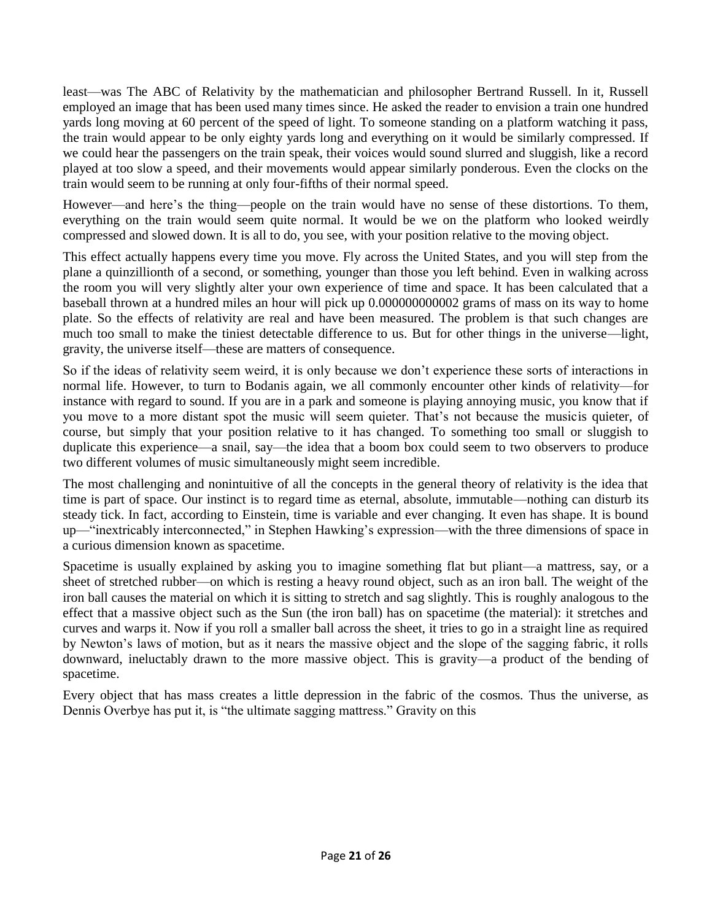least—was The ABC of Relativity by the mathematician and philosopher Bertrand Russell. In it, Russell employed an image that has been used many times since. He asked the reader to envision a train one hundred yards long moving at 60 percent of the speed of light. To someone standing on a platform watching it pass, the train would appear to be only eighty yards long and everything on it would be similarly compressed. If we could hear the passengers on the train speak, their voices would sound slurred and sluggish, like a record played at too slow a speed, and their movements would appear similarly ponderous. Even the clocks on the train would seem to be running at only four-fifths of their normal speed.

However—and here's the thing—people on the train would have no sense of these distortions. To them, everything on the train would seem quite normal. It would be we on the platform who looked weirdly compressed and slowed down. It is all to do, you see, with your position relative to the moving object.

This effect actually happens every time you move. Fly across the United States, and you will step from the plane a quinzillionth of a second, or something, younger than those you left behind. Even in walking across the room you will very slightly alter your own experience of time and space. It has been calculated that a baseball thrown at a hundred miles an hour will pick up 0.000000000002 grams of mass on its way to home plate. So the effects of relativity are real and have been measured. The problem is that such changes are much too small to make the tiniest detectable difference to us. But for other things in the universe—light, gravity, the universe itself—these are matters of consequence.

So if the ideas of relativity seem weird, it is only because we don't experience these sorts of interactions in normal life. However, to turn to Bodanis again, we all commonly encounter other kinds of relativity—for instance with regard to sound. If you are in a park and someone is playing annoying music, you know that if you move to a more distant spot the music will seem quieter. That's not because the musicis quieter, of course, but simply that your position relative to it has changed. To something too small or sluggish to duplicate this experience—a snail, say—the idea that a boom box could seem to two observers to produce two different volumes of music simultaneously might seem incredible.

The most challenging and nonintuitive of all the concepts in the general theory of relativity is the idea that time is part of space. Our instinct is to regard time as eternal, absolute, immutable—nothing can disturb its steady tick. In fact, according to Einstein, time is variable and ever changing. It even has shape. It is bound up—"inextricably interconnected," in Stephen Hawking's expression—with the three dimensions of space in a curious dimension known as spacetime.

Spacetime is usually explained by asking you to imagine something flat but pliant—a mattress, say, or a sheet of stretched rubber—on which is resting a heavy round object, such as an iron ball. The weight of the iron ball causes the material on which it is sitting to stretch and sag slightly. This is roughly analogous to the effect that a massive object such as the Sun (the iron ball) has on spacetime (the material): it stretches and curves and warps it. Now if you roll a smaller ball across the sheet, it tries to go in a straight line as required by Newton's laws of motion, but as it nears the massive object and the slope of the sagging fabric, it rolls downward, ineluctably drawn to the more massive object. This is gravity—a product of the bending of spacetime.

Every object that has mass creates a little depression in the fabric of the cosmos. Thus the universe, as Dennis Overbye has put it, is "the ultimate sagging mattress." Gravity on this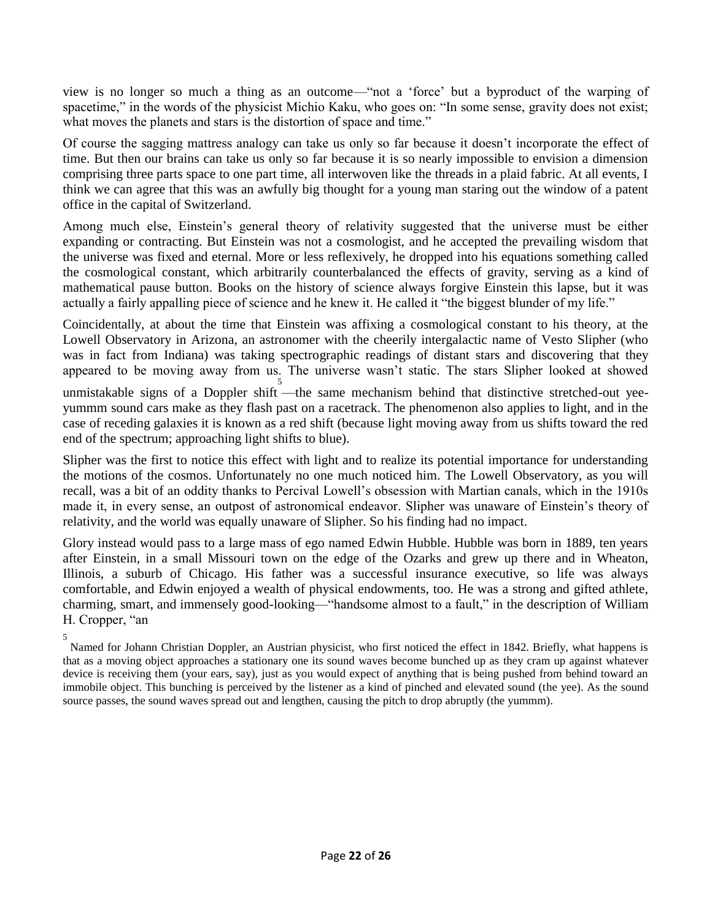view is no longer so much a thing as an outcome—"not a 'force' but a byproduct of the warping of spacetime," in the words of the physicist Michio Kaku, who goes on: "In some sense, gravity does not exist; what moves the planets and stars is the distortion of space and time."

Of course the sagging mattress analogy can take us only so far because it doesn't incorporate the effect of time. But then our brains can take us only so far because it is so nearly impossible to envision a dimension comprising three parts space to one part time, all interwoven like the threads in a plaid fabric. At all events, I think we can agree that this was an awfully big thought for a young man staring out the window of a patent office in the capital of Switzerland.

Among much else, Einstein's general theory of relativity suggested that the universe must be either expanding or contracting. But Einstein was not a cosmologist, and he accepted the prevailing wisdom that the universe was fixed and eternal. More or less reflexively, he dropped into his equations something called the cosmological constant, which arbitrarily counterbalanced the effects of gravity, serving as a kind of mathematical pause button. Books on the history of science always forgive Einstein this lapse, but it was actually a fairly appalling piece of science and he knew it. He called it "the biggest blunder of my life."

Coincidentally, at about the time that Einstein was affixing a cosmological constant to his theory, at the Lowell Observatory in Arizona, an astronomer with the cheerily intergalactic name of Vesto Slipher (who was in fact from Indiana) was taking spectrographic readings of distant stars and discovering that they appeared to be moving away from us. The universe wasn't static. The stars Slipher looked at showed

unmistakable signs of a Doppler shift 5 —the same mechanism behind that distinctive stretched-out yeeyummm sound cars make as they flash past on a racetrack. The phenomenon also applies to light, and in the case of receding galaxies it is known as a red shift (because light moving away from us shifts toward the red end of the spectrum; approaching light shifts to blue).

Slipher was the first to notice this effect with light and to realize its potential importance for understanding the motions of the cosmos. Unfortunately no one much noticed him. The Lowell Observatory, as you will recall, was a bit of an oddity thanks to Percival Lowell's obsession with Martian canals, which in the 1910s made it, in every sense, an outpost of astronomical endeavor. Slipher was unaware of Einstein's theory of relativity, and the world was equally unaware of Slipher. So his finding had no impact.

Glory instead would pass to a large mass of ego named Edwin Hubble. Hubble was born in 1889, ten years after Einstein, in a small Missouri town on the edge of the Ozarks and grew up there and in Wheaton, Illinois, a suburb of Chicago. His father was a successful insurance executive, so life was always comfortable, and Edwin enjoyed a wealth of physical endowments, too. He was a strong and gifted athlete, charming, smart, and immensely good-looking—"handsome almost to a fault," in the description of William H. Cropper, "an

<sup>5</sup> 

Named for Johann Christian Doppler, an Austrian physicist, who first noticed the effect in 1842. Briefly, what happens is that as a moving object approaches a stationary one its sound waves become bunched up as they cram up against whatever device is receiving them (your ears, say), just as you would expect of anything that is being pushed from behind toward an immobile object. This bunching is perceived by the listener as a kind of pinched and elevated sound (the yee). As the sound source passes, the sound waves spread out and lengthen, causing the pitch to drop abruptly (the yummm).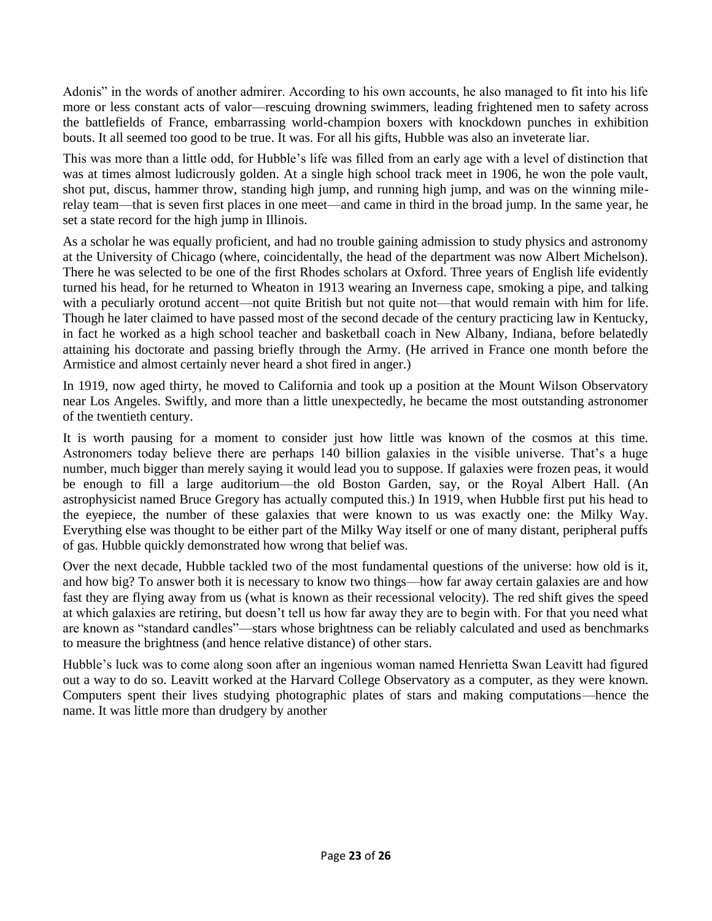Adonis" in the words of another admirer. According to his own accounts, he also managed to fit into his life more or less constant acts of valor—rescuing drowning swimmers, leading frightened men to safety across the battlefields of France, embarrassing world-champion boxers with knockdown punches in exhibition bouts. It all seemed too good to be true. It was. For all his gifts, Hubble was also an inveterate liar.

This was more than a little odd, for Hubble's life was filled from an early age with a level of distinction that was at times almost ludicrously golden. At a single high school track meet in 1906, he won the pole vault, shot put, discus, hammer throw, standing high jump, and running high jump, and was on the winning milerelay team—that is seven first places in one meet—and came in third in the broad jump. In the same year, he set a state record for the high jump in Illinois.

As a scholar he was equally proficient, and had no trouble gaining admission to study physics and astronomy at the University of Chicago (where, coincidentally, the head of the department was now Albert Michelson). There he was selected to be one of the first Rhodes scholars at Oxford. Three years of English life evidently turned his head, for he returned to Wheaton in 1913 wearing an Inverness cape, smoking a pipe, and talking with a peculiarly orotund accent—not quite British but not quite not—that would remain with him for life. Though he later claimed to have passed most of the second decade of the century practicing law in Kentucky, in fact he worked as a high school teacher and basketball coach in New Albany, Indiana, before belatedly attaining his doctorate and passing briefly through the Army. (He arrived in France one month before the Armistice and almost certainly never heard a shot fired in anger.)

In 1919, now aged thirty, he moved to California and took up a position at the Mount Wilson Observatory near Los Angeles. Swiftly, and more than a little unexpectedly, he became the most outstanding astronomer of the twentieth century.

It is worth pausing for a moment to consider just how little was known of the cosmos at this time. Astronomers today believe there are perhaps 140 billion galaxies in the visible universe. That's a huge number, much bigger than merely saying it would lead you to suppose. If galaxies were frozen peas, it would be enough to fill a large auditorium—the old Boston Garden, say, or the Royal Albert Hall. (An astrophysicist named Bruce Gregory has actually computed this.) In 1919, when Hubble first put his head to the eyepiece, the number of these galaxies that were known to us was exactly one: the Milky Way. Everything else was thought to be either part of the Milky Way itself or one of many distant, peripheral puffs of gas. Hubble quickly demonstrated how wrong that belief was.

Over the next decade, Hubble tackled two of the most fundamental questions of the universe: how old is it, and how big? To answer both it is necessary to know two things—how far away certain galaxies are and how fast they are flying away from us (what is known as their recessional velocity). The red shift gives the speed at which galaxies are retiring, but doesn't tell us how far away they are to begin with. For that you need what are known as "standard candles"—stars whose brightness can be reliably calculated and used as benchmarks to measure the brightness (and hence relative distance) of other stars.

Hubble's luck was to come along soon after an ingenious woman named Henrietta Swan Leavitt had figured out a way to do so. Leavitt worked at the Harvard College Observatory as a computer, as they were known. Computers spent their lives studying photographic plates of stars and making computations—hence the name. It was little more than drudgery by another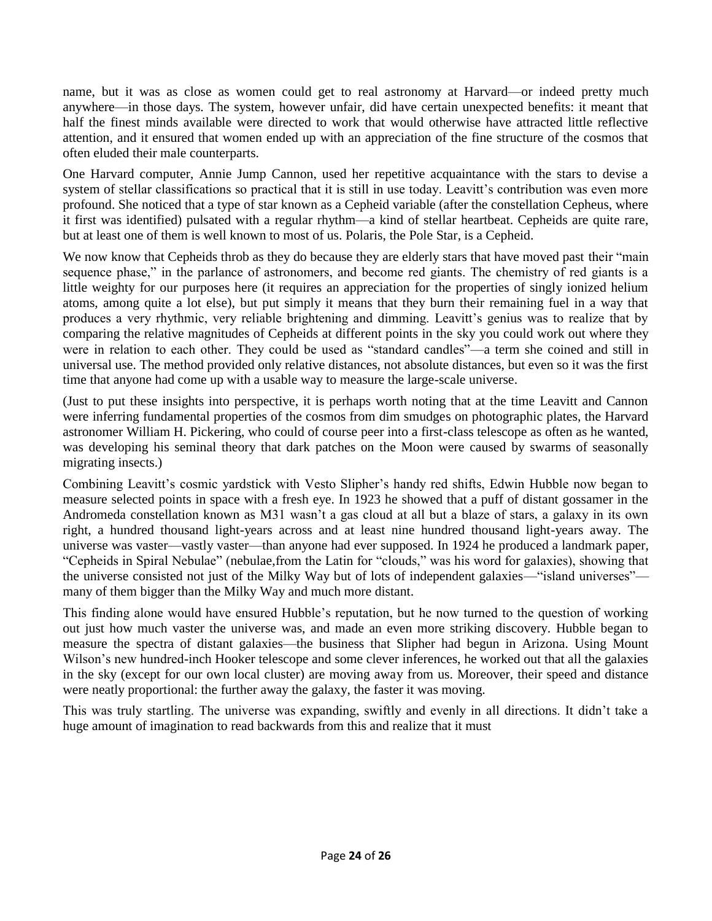name, but it was as close as women could get to real astronomy at Harvard—or indeed pretty much anywhere—in those days. The system, however unfair, did have certain unexpected benefits: it meant that half the finest minds available were directed to work that would otherwise have attracted little reflective attention, and it ensured that women ended up with an appreciation of the fine structure of the cosmos that often eluded their male counterparts.

One Harvard computer, Annie Jump Cannon, used her repetitive acquaintance with the stars to devise a system of stellar classifications so practical that it is still in use today. Leavitt's contribution was even more profound. She noticed that a type of star known as a Cepheid variable (after the constellation Cepheus, where it first was identified) pulsated with a regular rhythm—a kind of stellar heartbeat. Cepheids are quite rare, but at least one of them is well known to most of us. Polaris, the Pole Star, is a Cepheid.

We now know that Cepheids throb as they do because they are elderly stars that have moved past their "main" sequence phase," in the parlance of astronomers, and become red giants. The chemistry of red giants is a little weighty for our purposes here (it requires an appreciation for the properties of singly ionized helium atoms, among quite a lot else), but put simply it means that they burn their remaining fuel in a way that produces a very rhythmic, very reliable brightening and dimming. Leavitt's genius was to realize that by comparing the relative magnitudes of Cepheids at different points in the sky you could work out where they were in relation to each other. They could be used as "standard candles"—a term she coined and still in universal use. The method provided only relative distances, not absolute distances, but even so it was the first time that anyone had come up with a usable way to measure the large-scale universe.

(Just to put these insights into perspective, it is perhaps worth noting that at the time Leavitt and Cannon were inferring fundamental properties of the cosmos from dim smudges on photographic plates, the Harvard astronomer William H. Pickering, who could of course peer into a first-class telescope as often as he wanted, was developing his seminal theory that dark patches on the Moon were caused by swarms of seasonally migrating insects.)

Combining Leavitt's cosmic yardstick with Vesto Slipher's handy red shifts, Edwin Hubble now began to measure selected points in space with a fresh eye. In 1923 he showed that a puff of distant gossamer in the Andromeda constellation known as M31 wasn't a gas cloud at all but a blaze of stars, a galaxy in its own right, a hundred thousand light-years across and at least nine hundred thousand light-years away. The universe was vaster—vastly vaster—than anyone had ever supposed. In 1924 he produced a landmark paper, "Cepheids in Spiral Nebulae" (nebulae,from the Latin for "clouds," was his word for galaxies), showing that the universe consisted not just of the Milky Way but of lots of independent galaxies—"island universes" many of them bigger than the Milky Way and much more distant.

This finding alone would have ensured Hubble's reputation, but he now turned to the question of working out just how much vaster the universe was, and made an even more striking discovery. Hubble began to measure the spectra of distant galaxies—the business that Slipher had begun in Arizona. Using Mount Wilson's new hundred-inch Hooker telescope and some clever inferences, he worked out that all the galaxies in the sky (except for our own local cluster) are moving away from us. Moreover, their speed and distance were neatly proportional: the further away the galaxy, the faster it was moving.

This was truly startling. The universe was expanding, swiftly and evenly in all directions. It didn't take a huge amount of imagination to read backwards from this and realize that it must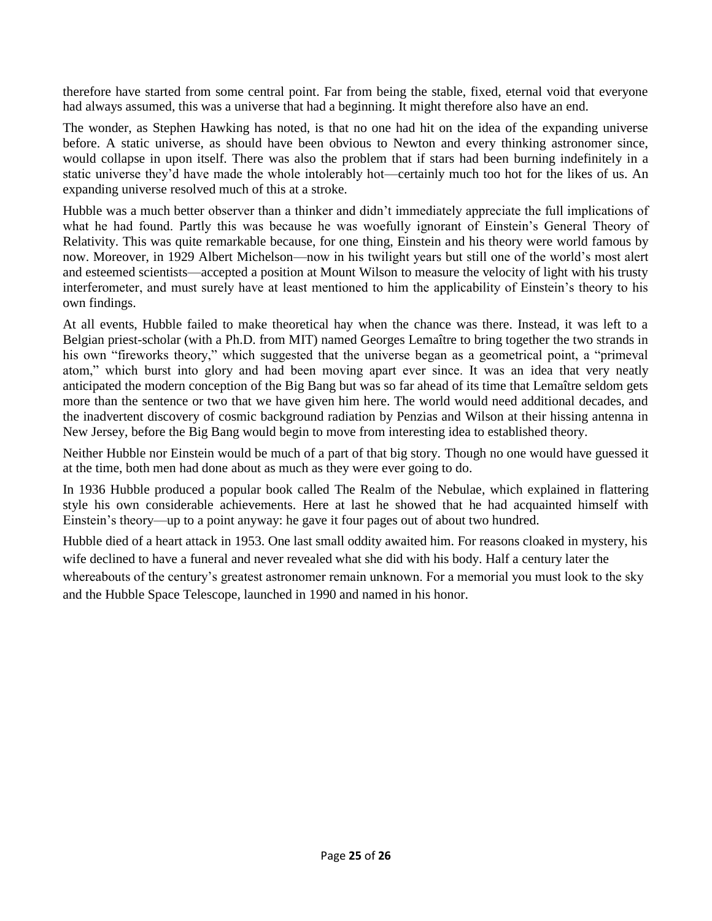therefore have started from some central point. Far from being the stable, fixed, eternal void that everyone had always assumed, this was a universe that had a beginning. It might therefore also have an end.

The wonder, as Stephen Hawking has noted, is that no one had hit on the idea of the expanding universe before. A static universe, as should have been obvious to Newton and every thinking astronomer since, would collapse in upon itself. There was also the problem that if stars had been burning indefinitely in a static universe they'd have made the whole intolerably hot—certainly much too hot for the likes of us. An expanding universe resolved much of this at a stroke.

Hubble was a much better observer than a thinker and didn't immediately appreciate the full implications of what he had found. Partly this was because he was woefully ignorant of Einstein's General Theory of Relativity. This was quite remarkable because, for one thing, Einstein and his theory were world famous by now. Moreover, in 1929 Albert Michelson—now in his twilight years but still one of the world's most alert and esteemed scientists—accepted a position at Mount Wilson to measure the velocity of light with his trusty interferometer, and must surely have at least mentioned to him the applicability of Einstein's theory to his own findings.

At all events, Hubble failed to make theoretical hay when the chance was there. Instead, it was left to a Belgian priest-scholar (with a Ph.D. from MIT) named Georges Lemaître to bring together the two strands in his own "fireworks theory," which suggested that the universe began as a geometrical point, a "primeval atom," which burst into glory and had been moving apart ever since. It was an idea that very neatly anticipated the modern conception of the Big Bang but was so far ahead of its time that Lemaître seldom gets more than the sentence or two that we have given him here. The world would need additional decades, and the inadvertent discovery of cosmic background radiation by Penzias and Wilson at their hissing antenna in New Jersey, before the Big Bang would begin to move from interesting idea to established theory.

Neither Hubble nor Einstein would be much of a part of that big story. Though no one would have guessed it at the time, both men had done about as much as they were ever going to do.

In 1936 Hubble produced a popular book called The Realm of the Nebulae, which explained in flattering style his own considerable achievements. Here at last he showed that he had acquainted himself with Einstein's theory—up to a point anyway: he gave it four pages out of about two hundred.

Hubble died of a heart attack in 1953. One last small oddity awaited him. For reasons cloaked in mystery, his wife declined to have a funeral and never revealed what she did with his body. Half a century later the whereabouts of the century's greatest astronomer remain unknown. For a memorial you must look to the sky and the Hubble Space Telescope, launched in 1990 and named in his honor.